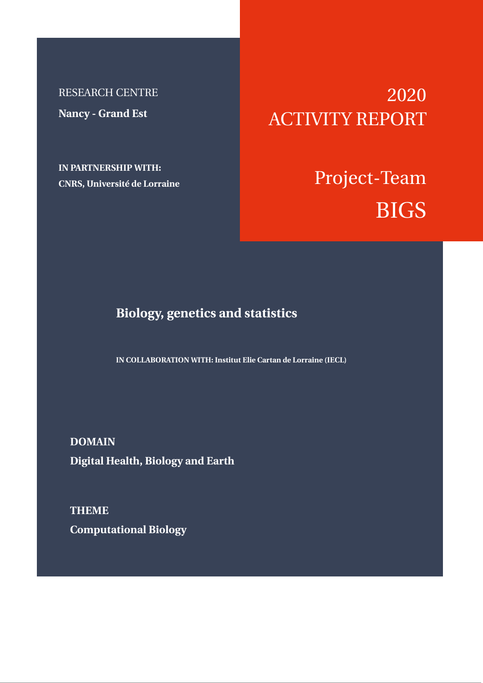RESEARCH CENTRE **Nancy - Grand Est**

**IN PARTNERSHIP WITH: CNRS, Université de Lorraine**

# 2020 ACTIVITY REPORT

# Project-Team BIGS

## **Biology, genetics and statistics**

**IN COLLABORATION WITH: Institut Elie Cartan de Lorraine (IECL)**

**DOMAIN Digital Health, Biology and Earth**

**THEME Computational Biology**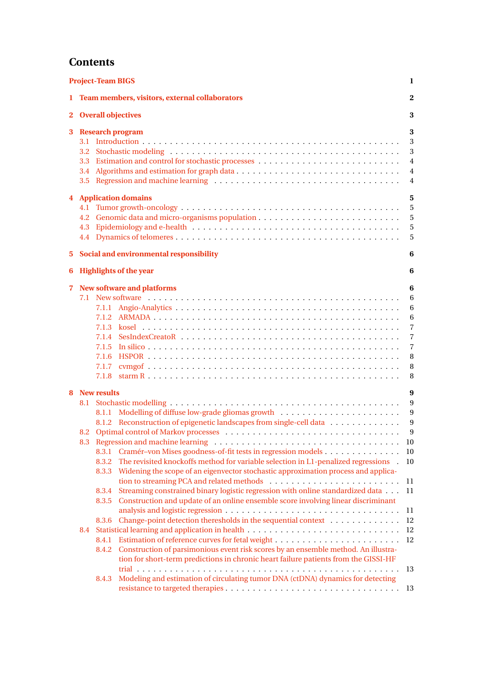## **Contents**

| <b>Project-Team BIGS</b><br>1 |                                                  |                                                                                                                                                                                                                                                                                                                                                                                                                                                                                                                                                                                                                                                                       |                                                                       |
|-------------------------------|--------------------------------------------------|-----------------------------------------------------------------------------------------------------------------------------------------------------------------------------------------------------------------------------------------------------------------------------------------------------------------------------------------------------------------------------------------------------------------------------------------------------------------------------------------------------------------------------------------------------------------------------------------------------------------------------------------------------------------------|-----------------------------------------------------------------------|
|                               | 1 Team members, visitors, external collaborators |                                                                                                                                                                                                                                                                                                                                                                                                                                                                                                                                                                                                                                                                       |                                                                       |
|                               | 2 Overall objectives                             |                                                                                                                                                                                                                                                                                                                                                                                                                                                                                                                                                                                                                                                                       |                                                                       |
| 3                             | <b>Research program</b><br>3.2<br>3.3            |                                                                                                                                                                                                                                                                                                                                                                                                                                                                                                                                                                                                                                                                       | 3<br>3<br>3<br>$\overline{4}$<br>4<br>4                               |
|                               | 4.1<br>4.2<br>4.3                                | <b>4</b> Application domains                                                                                                                                                                                                                                                                                                                                                                                                                                                                                                                                                                                                                                          | 5<br>5<br>5<br>5<br>5                                                 |
| $5^{\circ}$<br>6              |                                                  | Social and environmental responsibility<br><b>Highlights of the year</b>                                                                                                                                                                                                                                                                                                                                                                                                                                                                                                                                                                                              | 6<br>6                                                                |
| 7                             | 7.1                                              | <b>New software and platforms</b>                                                                                                                                                                                                                                                                                                                                                                                                                                                                                                                                                                                                                                     | 6<br>6<br>6<br>6<br>7<br>7<br>$\overline{7}$<br>8<br>8<br>8           |
| 8                             | <b>New results</b><br>8.4                        | 8.1.1 Modelling of diffuse low-grade gliomas growth<br>8.1.2 Reconstruction of epigenetic landscapes from single-cell data<br>Cramér–von Mises goodness-of-fit tests in regression models<br>8.3.1<br>The revisited knockoffs method for variable selection in L1-penalized regressions .<br>8.3.2<br>Widening the scope of an eigenvector stochastic approximation process and applica-<br>8.3.3<br>Streaming constrained binary logistic regression with online standardized data $\dots$<br>8.3.4<br>8.3.5 Construction and update of an online ensemble score involving linear discriminant<br>8.3.6 Change-point detection theresholds in the sequential context | 9<br>9<br>9<br>9<br>9<br>10<br>10<br>10<br>11<br>11<br>11<br>12<br>12 |
|                               |                                                  | 8.4.1<br>8.4.2 Construction of parsimonious event risk scores by an ensemble method. An illustra-<br>tion for short-term predictions in chronic heart failure patients from the GISSI-HF<br>Modeling and estimation of circulating tumor DNA (ctDNA) dynamics for detecting<br>8.4.3                                                                                                                                                                                                                                                                                                                                                                                  | 12<br>13<br>13                                                        |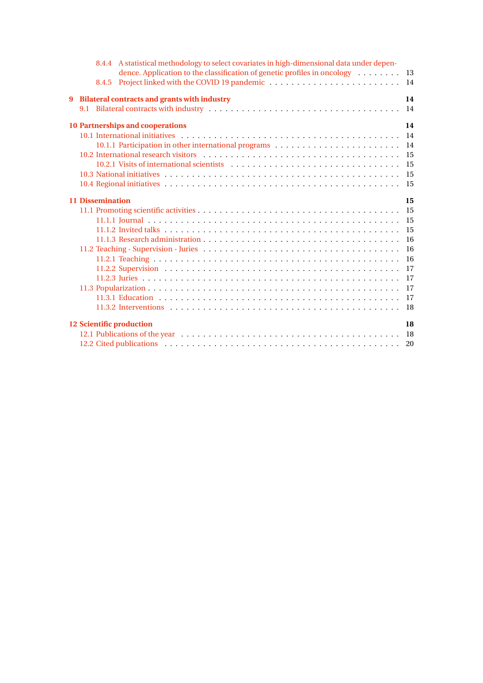| 8.4.4 A statistical methodology to select covariates in high-dimensional data under depen- |      |  |  |
|--------------------------------------------------------------------------------------------|------|--|--|
| dence. Application to the classification of genetic profiles in oncology                   | -13  |  |  |
| 8.4.5                                                                                      | -14  |  |  |
| 9 Bilateral contracts and grants with industry                                             | 14   |  |  |
|                                                                                            | 14   |  |  |
| <b>10 Partnerships and cooperations</b><br>14                                              |      |  |  |
|                                                                                            |      |  |  |
|                                                                                            |      |  |  |
|                                                                                            |      |  |  |
|                                                                                            |      |  |  |
|                                                                                            | - 15 |  |  |
|                                                                                            | -15  |  |  |
| <b>11 Dissemination</b><br>15                                                              |      |  |  |
|                                                                                            |      |  |  |
|                                                                                            |      |  |  |
|                                                                                            |      |  |  |
|                                                                                            |      |  |  |
|                                                                                            |      |  |  |
|                                                                                            |      |  |  |
|                                                                                            |      |  |  |
|                                                                                            |      |  |  |
|                                                                                            |      |  |  |
|                                                                                            |      |  |  |
|                                                                                            | -18  |  |  |
| <b>12 Scientific production</b><br>18                                                      |      |  |  |
|                                                                                            | -18  |  |  |
|                                                                                            |      |  |  |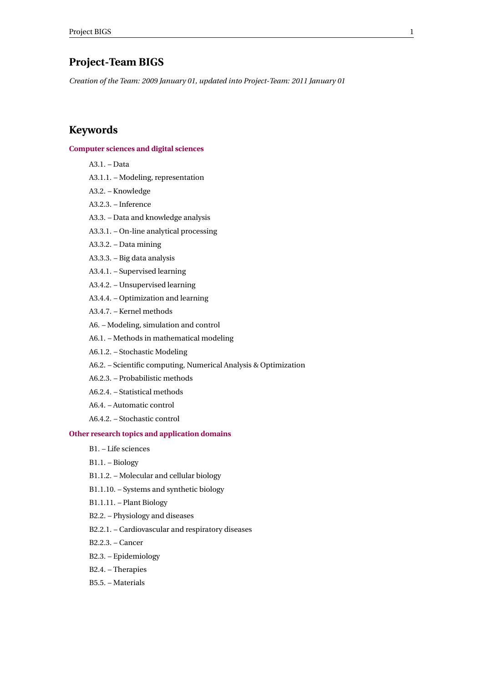## <span id="page-3-0"></span>**Project-Team BIGS**

*Creation of the Team: 2009 January 01, updated into Project-Team: 2011 January 01*

## **Keywords**

#### **[Computer sciences and digital sciences](https://raweb.inria.fr/rapportsactivite/RA2020/static/keywords/ComputerScienceandDigitalScience.html)**

- A3.1. Data
- A3.1.1. Modeling, representation
- A3.2. Knowledge
- A3.2.3. Inference
- A3.3. Data and knowledge analysis
- A3.3.1. On-line analytical processing
- A3.3.2. Data mining
- A3.3.3. Big data analysis
- A3.4.1. Supervised learning
- A3.4.2. Unsupervised learning
- A3.4.4. Optimization and learning
- A3.4.7. Kernel methods
- A6. Modeling, simulation and control
- A6.1. Methods in mathematical modeling
- A6.1.2. Stochastic Modeling
- A6.2. Scientific computing, Numerical Analysis & Optimization
- A6.2.3. Probabilistic methods
- A6.2.4. Statistical methods
- A6.4. Automatic control
- A6.4.2. Stochastic control

#### **[Other research topics and application domains](https://raweb.inria.fr/rapportsactivite/RA2020/static/keywords/OtherResearchTopicsandApplicationDomains.html)**

- B1. Life sciences
- B1.1. Biology
- B1.1.2. Molecular and cellular biology
- B1.1.10. Systems and synthetic biology
- B1.1.11. Plant Biology
- B2.2. Physiology and diseases
- B2.2.1. Cardiovascular and respiratory diseases
- B2.2.3. Cancer
- B2.3. Epidemiology
- B2.4. Therapies
- B5.5. Materials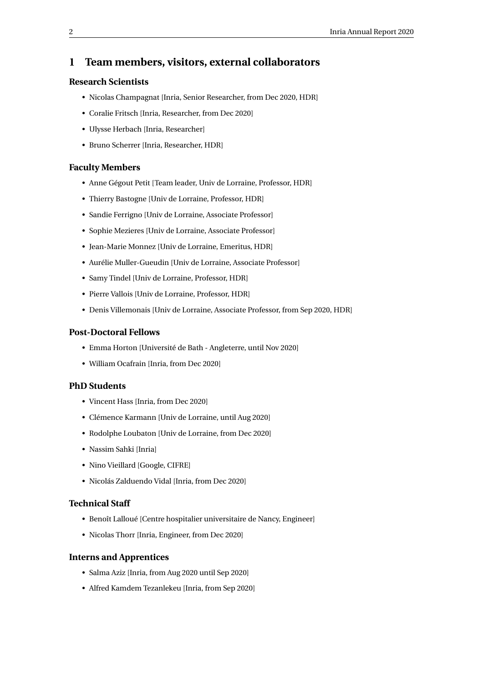## <span id="page-4-0"></span>**1 Team members, visitors, external collaborators**

#### **Research Scientists**

- Nicolas Champagnat [Inria, Senior Researcher, from Dec 2020, HDR]
- Coralie Fritsch [Inria, Researcher, from Dec 2020]
- Ulysse Herbach [Inria, Researcher]
- Bruno Scherrer [Inria, Researcher, HDR]

#### **Faculty Members**

- Anne Gégout Petit [Team leader, Univ de Lorraine, Professor, HDR]
- Thierry Bastogne [Univ de Lorraine, Professor, HDR]
- Sandie Ferrigno [Univ de Lorraine, Associate Professor]
- Sophie Mezieres [Univ de Lorraine, Associate Professor]
- Jean-Marie Monnez [Univ de Lorraine, Emeritus, HDR]
- Aurélie Muller-Gueudin [Univ de Lorraine, Associate Professor]
- Samy Tindel [Univ de Lorraine, Professor, HDR]
- Pierre Vallois [Univ de Lorraine, Professor, HDR]
- Denis Villemonais [Univ de Lorraine, Associate Professor, from Sep 2020, HDR]

#### **Post-Doctoral Fellows**

- Emma Horton [Université de Bath Angleterre, until Nov 2020]
- William Ocafrain [Inria, from Dec 2020]

## **PhD Students**

- Vincent Hass [Inria, from Dec 2020]
- Clémence Karmann [Univ de Lorraine, until Aug 2020]
- Rodolphe Loubaton [Univ de Lorraine, from Dec 2020]
- Nassim Sahki [Inria]
- Nino Vieillard [Google, CIFRE]
- Nicolás Zalduendo Vidal [Inria, from Dec 2020]

## **Technical Staff**

- Benoît Lalloué [Centre hospitalier universitaire de Nancy, Engineer]
- Nicolas Thorr [Inria, Engineer, from Dec 2020]

#### **Interns and Apprentices**

- Salma Aziz [Inria, from Aug 2020 until Sep 2020]
- Alfred Kamdem Tezanlekeu [Inria, from Sep 2020]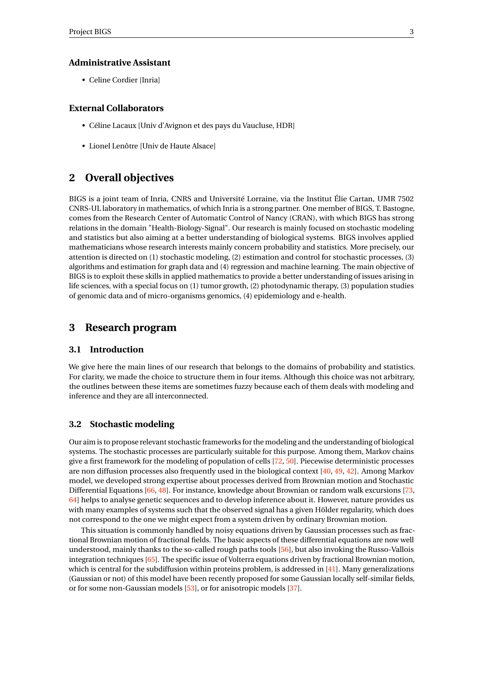#### **Administrative Assistant**

• Celine Cordier [Inria]

#### **External Collaborators**

- Céline Lacaux [Univ d'Avignon et des pays du Vaucluse, HDR]
- Lionel Lenôtre [Univ de Haute Alsace]

## <span id="page-5-0"></span>**2 Overall objectives**

BIGS is a joint team of Inria, CNRS and Université Lorraine, via the Institut Élie Cartan, UMR 7502 CNRS-UL laboratory in mathematics, of which Inria is a strong partner. One member of BIGS, T. Bastogne, comes from the Research Center of Automatic Control of Nancy (CRAN), with which BIGS has strong relations in the domain "Health-Biology-Signal". Our research is mainly focused on stochastic modeling and statistics but also aiming at a better understanding of biological systems. BIGS involves applied mathematicians whose research interests mainly concern probability and statistics. More precisely, our attention is directed on (1) stochastic modeling, (2) estimation and control for stochastic processes, (3) algorithms and estimation for graph data and (4) regression and machine learning. The main objective of BIGS is to exploit these skills in applied mathematics to provide a better understanding of issues arising in life sciences, with a special focus on (1) tumor growth, (2) photodynamic therapy, (3) population studies of genomic data and of micro-organisms genomics, (4) epidemiology and e-health.

## <span id="page-5-1"></span>**3 Research program**

#### <span id="page-5-2"></span>**3.1 Introduction**

We give here the main lines of our research that belongs to the domains of probability and statistics. For clarity, we made the choice to structure them in four items. Although this choice was not arbitrary, the outlines between these items are sometimes fuzzy because each of them deals with modeling and inference and they are all interconnected.

### <span id="page-5-3"></span>**3.2 Stochastic modeling**

Our aim is to propose relevant stochastic frameworks for the modeling and the understanding of biological systems. The stochastic processes are particularly suitable for this purpose. Among them, Markov chains give a first framework for the modeling of population of cells [\[72,](#page-24-0) [50\]](#page-23-0). Piecewise deterministic processes are non diffusion processes also frequently used in the biological context [\[40,](#page-23-1) [49,](#page-23-2) [42\]](#page-23-3). Among Markov model, we developed strong expertise about processes derived from Brownian motion and Stochastic Differential Equations [\[66,](#page-24-1) [48\]](#page-23-4). For instance, knowledge about Brownian or random walk excursions [\[73,](#page-24-2) [64\]](#page-24-3) helps to analyse genetic sequences and to develop inference about it. However, nature provides us with many examples of systems such that the observed signal has a given Hölder regularity, which does not correspond to the one we might expect from a system driven by ordinary Brownian motion.

This situation is commonly handled by noisy equations driven by Gaussian processes such as fractional Brownian motion of fractional fields. The basic aspects of these differential equations are now well understood, mainly thanks to the so-called rough paths tools [\[56\]](#page-24-4), but also invoking the Russo-Vallois integration techniques [\[65\]](#page-24-5). The specific issue of Volterra equations driven by fractional Brownian motion, which is central for the subdiffusion within proteins problem, is addressed in [\[41\]](#page-23-5). Many generalizations (Gaussian or not) of this model have been recently proposed for some Gaussian locally self-similar fields, or for some non-Gaussian models [\[53\]](#page-23-6), or for anisotropic models [\[37\]](#page-23-7).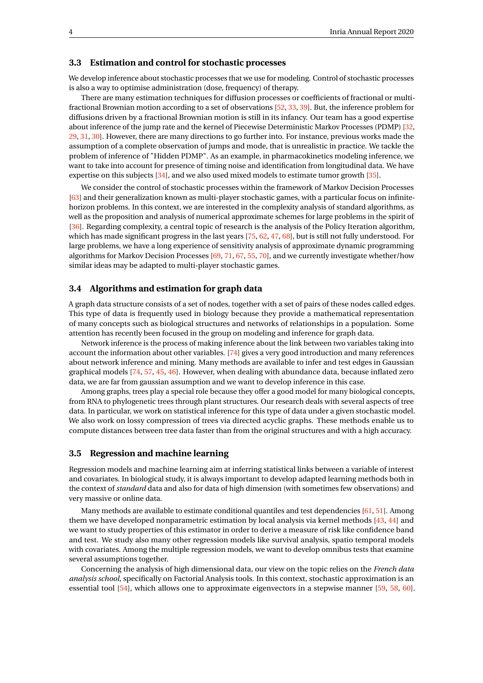#### <span id="page-6-0"></span>**3.3 Estimation and control for stochastic processes**

We develop inference about stochastic processes that we use for modeling. Control of stochastic processes is also a way to optimise administration (dose, frequency) of therapy.

There are many estimation techniques for diffusion processes or coefficients of fractional or multifractional Brownian motion according to a set of observations [\[52,](#page-23-8) [33,](#page-22-1) [39\]](#page-23-9). But, the inference problem for diffusions driven by a fractional Brownian motion is still in its infancy. Our team has a good expertise about inference of the jump rate and the kernel of Piecewise Deterministic Markov Processes (PDMP) [\[32,](#page-22-2) [29,](#page-22-3) [31,](#page-22-4) [30\]](#page-22-5). However, there are many directions to go further into. For instance, previous works made the assumption of a complete observation of jumps and mode, that is unrealistic in practice. We tackle the problem of inference of "Hidden PDMP". As an example, in pharmacokinetics modeling inference, we want to take into account for presence of timing noise and identification from longitudinal data. We have expertise on this subjects [\[34\]](#page-22-6), and we also used mixed models to estimate tumor growth [\[35\]](#page-23-10).

We consider the control of stochastic processes within the framework of Markov Decision Processes [\[63\]](#page-24-6) and their generalization known as multi-player stochastic games, with a particular focus on infinitehorizon problems. In this context, we are interested in the complexity analysis of standard algorithms, as well as the proposition and analysis of numerical approximate schemes for large problems in the spirit of [\[36\]](#page-23-11). Regarding complexity, a central topic of research is the analysis of the Policy Iteration algorithm, which has made significant progress in the last years [\[75,](#page-24-7) [62,](#page-24-8) [47,](#page-23-12) [68\]](#page-24-9), but is still not fully understood. For large problems, we have a long experience of sensitivity analysis of approximate dynamic programming algorithms for Markov Decision Processes [\[69,](#page-24-10) [71,](#page-24-11) [67,](#page-24-12) [55,](#page-23-13) [70\]](#page-24-13), and we currently investigate whether/how similar ideas may be adapted to multi-player stochastic games.

#### <span id="page-6-1"></span>**3.4 Algorithms and estimation for graph data**

A graph data structure consists of a set of nodes, together with a set of pairs of these nodes called edges. This type of data is frequently used in biology because they provide a mathematical representation of many concepts such as biological structures and networks of relationships in a population. Some attention has recently been focused in the group on modeling and inference for graph data.

Network inference is the process of making inference about the link between two variables taking into account the information about other variables. [\[74\]](#page-24-14) gives a very good introduction and many references about network inference and mining. Many methods are available to infer and test edges in Gaussian graphical models [\[74,](#page-24-14) [57,](#page-24-15) [45,](#page-23-14) [46\]](#page-23-15). However, when dealing with abundance data, because inflated zero data, we are far from gaussian assumption and we want to develop inference in this case.

Among graphs, trees play a special role because they offer a good model for many biological concepts, from RNA to phylogenetic trees through plant structures. Our research deals with several aspects of tree data. In particular, we work on statistical inference for this type of data under a given stochastic model. We also work on lossy compression of trees via directed acyclic graphs. These methods enable us to compute distances between tree data faster than from the original structures and with a high accuracy.

#### <span id="page-6-2"></span>**3.5 Regression and machine learning**

Regression models and machine learning aim at inferring statistical links between a variable of interest and covariates. In biological study, it is always important to develop adapted learning methods both in the context of *standard* data and also for data of high dimension (with sometimes few observations) and very massive or online data.

Many methods are available to estimate conditional quantiles and test dependencies [\[61,](#page-24-16) [51\]](#page-23-16). Among them we have developed nonparametric estimation by local analysis via kernel methods [\[43,](#page-23-17) [44\]](#page-23-18) and we want to study properties of this estimator in order to derive a measure of risk like confidence band and test. We study also many other regression models like survival analysis, spatio temporal models with covariates. Among the multiple regression models, we want to develop omnibus tests that examine several assumptions together.

Concerning the analysis of high dimensional data, our view on the topic relies on the *French data analysis school*, specifically on Factorial Analysis tools. In this context, stochastic approximation is an essential tool [\[54\]](#page-23-19), which allows one to approximate eigenvectors in a stepwise manner [\[59,](#page-24-17) [58,](#page-24-18) [60\]](#page-24-19).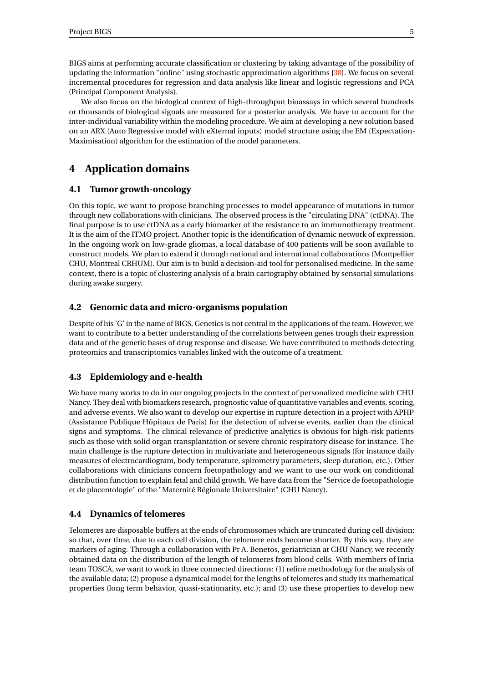BIGS aims at performing accurate classification or clustering by taking advantage of the possibility of updating the information "online" using stochastic approximation algorithms [\[38\]](#page-23-20). We focus on several incremental procedures for regression and data analysis like linear and logistic regressions and PCA (Principal Component Analysis).

We also focus on the biological context of high-throughput bioassays in which several hundreds or thousands of biological signals are measured for a posterior analysis. We have to account for the inter-individual variability within the modeling procedure. We aim at developing a new solution based on an ARX (Auto Regressive model with eXternal inputs) model structure using the EM (Expectation-Maximisation) algorithm for the estimation of the model parameters.

## <span id="page-7-0"></span>**4 Application domains**

## <span id="page-7-1"></span>**4.1 Tumor growth-oncology**

On this topic, we want to propose branching processes to model appearance of mutations in tumor through new collaborations with clinicians. The observed process is the "circulating DNA" (ctDNA). The final purpose is to use ctDNA as a early biomarker of the resistance to an immunotherapy treatment. It is the aim of the ITMO project. Another topic is the identification of dynamic network of expression. In the ongoing work on low-grade gliomas, a local database of 400 patients will be soon available to construct models. We plan to extend it through national and international collaborations (Montpellier CHU, Montreal CRHUM). Our aim is to build a decision-aid tool for personalised medicine. In the same context, there is a topic of clustering analysis of a brain cartography obtained by sensorial simulations during awake surgery.

## <span id="page-7-2"></span>**4.2 Genomic data and micro-organisms population**

Despite of his 'G' in the name of BIGS, Genetics is not central in the applications of the team. However, we want to contribute to a better understanding of the correlations between genes trough their expression data and of the genetic bases of drug response and disease. We have contributed to methods detecting proteomics and transcriptomics variables linked with the outcome of a treatment.

## <span id="page-7-3"></span>**4.3 Epidemiology and e-health**

We have many works to do in our ongoing projects in the context of personalized medicine with CHU Nancy. They deal with biomarkers research, prognostic value of quantitative variables and events, scoring, and adverse events. We also want to develop our expertise in rupture detection in a project with APHP (Assistance Publique Hôpitaux de Paris) for the detection of adverse events, earlier than the clinical signs and symptoms. The clinical relevance of predictive analytics is obvious for high-risk patients such as those with solid organ transplantation or severe chronic respiratory disease for instance. The main challenge is the rupture detection in multivariate and heterogeneous signals (for instance daily measures of electrocardiogram, body temperature, spirometry parameters, sleep duration, etc.). Other collaborations with clinicians concern foetopathology and we want to use our work on conditional distribution function to explain fetal and child growth. We have data from the "Service de foetopathologie et de placentologie" of the "Maternité Régionale Universitaire" (CHU Nancy).

## <span id="page-7-4"></span>**4.4 Dynamics of telomeres**

Telomeres are disposable buffers at the ends of chromosomes which are truncated during cell division; so that, over time, due to each cell division, the telomere ends become shorter. By this way, they are markers of aging. Through a collaboration with Pr A. Benetos, geriatrician at CHU Nancy, we recently obtained data on the distribution of the length of telomeres from blood cells. With members of Inria team TOSCA, we want to work in three connected directions: (1) refine methodology for the analysis of the available data; (2) propose a dynamical model for the lengths of telomeres and study its mathematical properties (long term behavior, quasi-stationarity, etc.); and (3) use these properties to develop new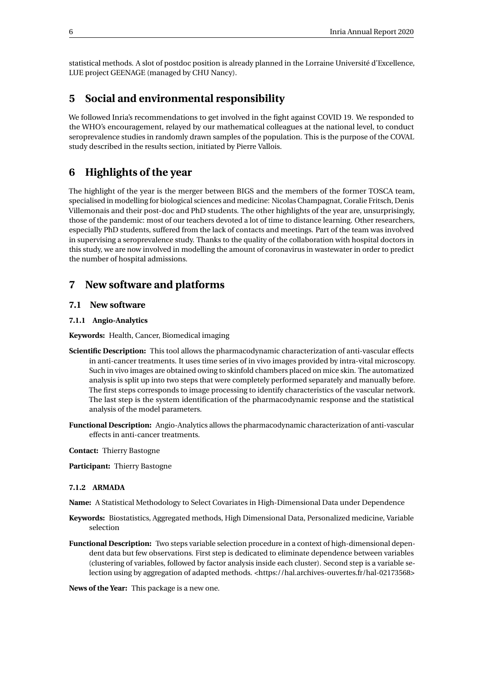statistical methods. A slot of postdoc position is already planned in the Lorraine Université d'Excellence, LUE project GEENAGE (managed by CHU Nancy).

## <span id="page-8-0"></span>**5 Social and environmental responsibility**

We followed Inria's recommendations to get involved in the fight against COVID 19. We responded to the WHO's encouragement, relayed by our mathematical colleagues at the national level, to conduct seroprevalence studies in randomly drawn samples of the population. This is the purpose of the COVAL study described in the results section, initiated by Pierre Vallois.

## <span id="page-8-1"></span>**6 Highlights of the year**

The highlight of the year is the merger between BIGS and the members of the former TOSCA team, specialised in modelling for biological sciences and medicine: Nicolas Champagnat, Coralie Fritsch, Denis Villemonais and their post-doc and PhD students. The other highlights of the year are, unsurprisingly, those of the pandemic: most of our teachers devoted a lot of time to distance learning. Other researchers, especially PhD students, suffered from the lack of contacts and meetings. Part of the team was involved in supervising a seroprevalence study. Thanks to the quality of the collaboration with hospital doctors in this study, we are now involved in modelling the amount of coronavirus in wastewater in order to predict the number of hospital admissions.

## <span id="page-8-2"></span>**7 New software and platforms**

#### <span id="page-8-3"></span>**7.1 New software**

#### <span id="page-8-4"></span>**7.1.1 Angio-Analytics**

**Keywords:** Health, Cancer, Biomedical imaging

- **Scientific Description:** This tool allows the pharmacodynamic characterization of anti-vascular effects in anti-cancer treatments. It uses time series of in vivo images provided by intra-vital microscopy. Such in vivo images are obtained owing to skinfold chambers placed on mice skin. The automatized analysis is split up into two steps that were completely performed separately and manually before. The first steps corresponds to image processing to identify characteristics of the vascular network. The last step is the system identification of the pharmacodynamic response and the statistical analysis of the model parameters.
- **Functional Description:** Angio-Analytics allows the pharmacodynamic characterization of anti-vascular effects in anti-cancer treatments.

**Contact:** Thierry Bastogne

**Participant:** Thierry Bastogne

#### <span id="page-8-5"></span>**7.1.2 ARMADA**

**Name:** A Statistical Methodology to Select Covariates in High-Dimensional Data under Dependence

- **Keywords:** Biostatistics, Aggregated methods, High Dimensional Data, Personalized medicine, Variable selection
- **Functional Description:** Two steps variable selection procedure in a context of high-dimensional dependent data but few observations. First step is dedicated to eliminate dependence between variables (clustering of variables, followed by factor analysis inside each cluster). Second step is a variable selection using by aggregation of adapted methods. <https://hal.archives-ouvertes.fr/hal-02173568>

**News of the Year:** This package is a new one.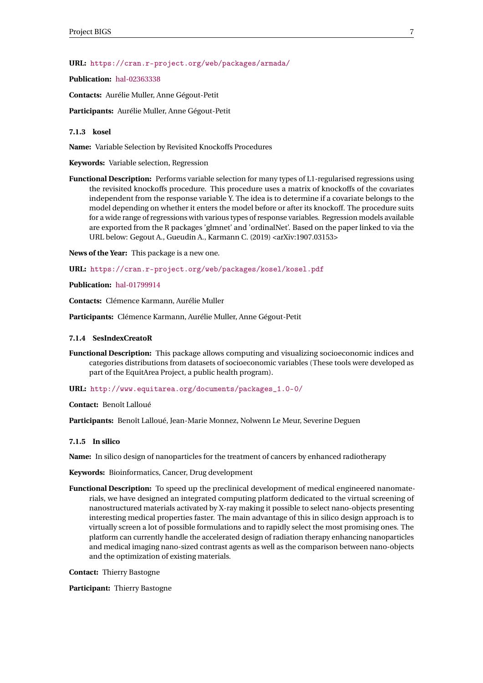#### **URL:** <https://cran.r-project.org/web/packages/armada/>

**Publication:** [hal-02363338](https://hal.inria.fr/hal-02363338)

**Contacts:** Aurélie Muller, Anne Gégout-Petit

**Participants:** Aurélie Muller, Anne Gégout-Petit

<span id="page-9-0"></span>**7.1.3 kosel**

**Name:** Variable Selection by Revisited Knockoffs Procedures

**Keywords:** Variable selection, Regression

**Functional Description:** Performs variable selection for many types of L1-regularised regressions using the revisited knockoffs procedure. This procedure uses a matrix of knockoffs of the covariates independent from the response variable Y. The idea is to determine if a covariate belongs to the model depending on whether it enters the model before or after its knockoff. The procedure suits for a wide range of regressions with various types of response variables. Regression models available are exported from the R packages 'glmnet' and 'ordinalNet'. Based on the paper linked to via the URL below: Gegout A., Gueudin A., Karmann C. (2019) <arXiv:1907.03153>

**News of the Year:** This package is a new one.

**URL:** <https://cran.r-project.org/web/packages/kosel/kosel.pdf>

**Publication:** [hal-01799914](https://hal.inria.fr/hal-01799914)

**Contacts:** Clémence Karmann, Aurélie Muller

**Participants:** Clémence Karmann, Aurélie Muller, Anne Gégout-Petit

#### <span id="page-9-1"></span>**7.1.4 SesIndexCreatoR**

**Functional Description:** This package allows computing and visualizing socioeconomic indices and categories distributions from datasets of socioeconomic variables (These tools were developed as part of the EquitArea Project, a public health program).

**URL:** [http://www.equitarea.org/documents/packages\\_1.0-0/](http://www.equitarea.org/documents/packages_1.0-0/)

**Contact:** Benoît Lalloué

**Participants:** Benoît Lalloué, Jean-Marie Monnez, Nolwenn Le Meur, Severine Deguen

#### <span id="page-9-2"></span>**7.1.5 In silico**

**Name:** In silico design of nanoparticles for the treatment of cancers by enhanced radiotherapy

**Keywords:** Bioinformatics, Cancer, Drug development

**Functional Description:** To speed up the preclinical development of medical engineered nanomaterials, we have designed an integrated computing platform dedicated to the virtual screening of nanostructured materials activated by X-ray making it possible to select nano-objects presenting interesting medical properties faster. The main advantage of this in silico design approach is to virtually screen a lot of possible formulations and to rapidly select the most promising ones. The platform can currently handle the accelerated design of radiation therapy enhancing nanoparticles and medical imaging nano-sized contrast agents as well as the comparison between nano-objects and the optimization of existing materials.

**Contact:** Thierry Bastogne

**Participant:** Thierry Bastogne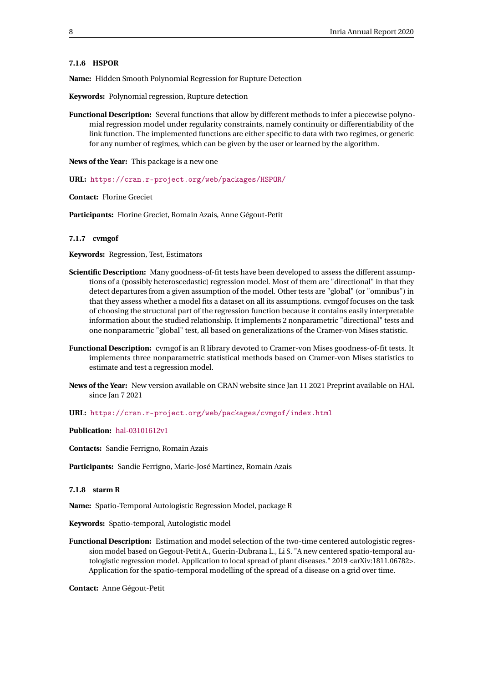#### <span id="page-10-0"></span>**7.1.6 HSPOR**

**Name:** Hidden Smooth Polynomial Regression for Rupture Detection

**Keywords:** Polynomial regression, Rupture detection

**Functional Description:** Several functions that allow by different methods to infer a piecewise polynomial regression model under regularity constraints, namely continuity or differentiability of the link function. The implemented functions are either specific to data with two regimes, or generic for any number of regimes, which can be given by the user or learned by the algorithm.

**News of the Year:** This package is a new one

**URL:** <https://cran.r-project.org/web/packages/HSPOR/>

**Contact:** Florine Greciet

**Participants:** Florine Greciet, Romain Azais, Anne Gégout-Petit

#### <span id="page-10-1"></span>**7.1.7 cvmgof**

**Keywords:** Regression, Test, Estimators

- **Scientific Description:** Many goodness-of-fit tests have been developed to assess the different assumptions of a (possibly heteroscedastic) regression model. Most of them are "directional" in that they detect departures from a given assumption of the model. Other tests are "global" (or "omnibus") in that they assess whether a model fits a dataset on all its assumptions. cvmgof focuses on the task of choosing the structural part of the regression function because it contains easily interpretable information about the studied relationship. It implements 2 nonparametric "directional" tests and one nonparametric "global" test, all based on generalizations of the Cramer-von Mises statistic.
- **Functional Description:** cvmgof is an R library devoted to Cramer-von Mises goodness-of-fit tests. It implements three nonparametric statistical methods based on Cramer-von Mises statistics to estimate and test a regression model.
- **News of the Year:** New version available on CRAN website since Jan 11 2021 Preprint available on HAL since Jan 7 2021

**URL:** <https://cran.r-project.org/web/packages/cvmgof/index.html>

**Publication:** [hal-03101612v1](https://hal.inria.fr/hal-03101612v1)

**Contacts:** Sandie Ferrigno, Romain Azais

**Participants:** Sandie Ferrigno, Marie-José Martinez, Romain Azais

#### <span id="page-10-2"></span>**7.1.8 starm R**

**Name:** Spatio-Temporal Autologistic Regression Model, package R

**Keywords:** Spatio-temporal, Autologistic model

**Functional Description:** Estimation and model selection of the two-time centered autologistic regression model based on Gegout-Petit A., Guerin-Dubrana L., Li S. "A new centered spatio-temporal autologistic regression model. Application to local spread of plant diseases." 2019 <arXiv:1811.06782>. Application for the spatio-temporal modelling of the spread of a disease on a grid over time.

**Contact:** Anne Gégout-Petit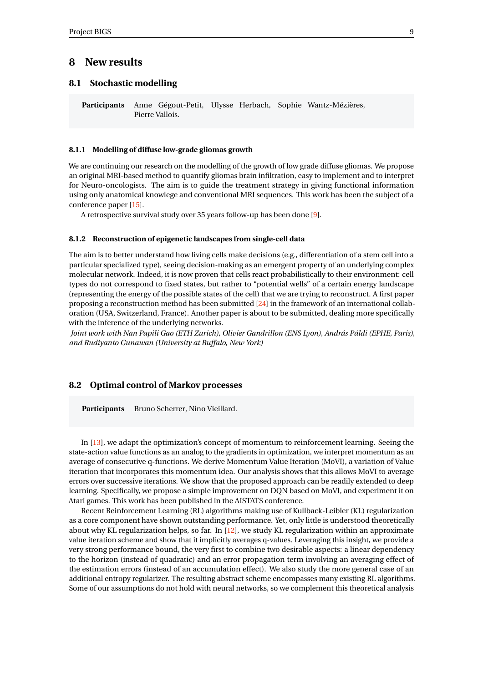## <span id="page-11-0"></span>**8 New results**

#### <span id="page-11-1"></span>**8.1 Stochastic modelling**

**Participants** Anne Gégout-Petit, Ulysse Herbach, Sophie Wantz-Mézières, Pierre Vallois.

#### <span id="page-11-2"></span>**8.1.1 Modelling of diffuse low-grade gliomas growth**

We are continuing our research on the modelling of the growth of low grade diffuse gliomas. We propose an original MRI-based method to quantify gliomas brain infiltration, easy to implement and to interpret for Neuro-oncologists. The aim is to guide the treatment strategy in giving functional information using only anatomical knowlege and conventional MRI sequences. This work has been the subject of a conference paper [\[15\]](#page-21-0).

A retrospective survival study over 35 years follow-up has been done [\[9\]](#page-20-3).

#### <span id="page-11-3"></span>**8.1.2 Reconstruction of epigenetic landscapes from single-cell data**

The aim is to better understand how living cells make decisions (e.g., differentiation of a stem cell into a particular specialized type), seeing decision-making as an emergent property of an underlying complex molecular network. Indeed, it is now proven that cells react probabilistically to their environment: cell types do not correspond to fixed states, but rather to "potential wells" of a certain energy landscape (representing the energy of the possible states of the cell) that we are trying to reconstruct. A first paper proposing a reconstruction method has been submitted [\[24\]](#page-22-7) in the framework of an international collaboration (USA, Switzerland, France). Another paper is about to be submitted, dealing more specifically with the inference of the underlying networks.

*Joint work with Nan Papili Gao (ETH Zurich), Olivier Gandrillon (ENS Lyon), András Páldi (EPHE, Paris), and Rudiyanto Gunawan (University at Buffalo, New York)*

#### <span id="page-11-4"></span>**8.2 Optimal control of Markov processes**

**Participants** Bruno Scherrer, Nino Vieillard.

In [\[13\]](#page-21-1), we adapt the optimization's concept of momentum to reinforcement learning. Seeing the state-action value functions as an analog to the gradients in optimization, we interpret momentum as an average of consecutive q-functions. We derive Momentum Value Iteration (MoVI), a variation of Value iteration that incorporates this momentum idea. Our analysis shows that this allows MoVI to average errors over successive iterations. We show that the proposed approach can be readily extended to deep learning. Specifically, we propose a simple improvement on DQN based on MoVI, and experiment it on Atari games. This work has been published in the AISTATS conference.

Recent Reinforcement Learning (RL) algorithms making use of Kullback-Leibler (KL) regularization as a core component have shown outstanding performance. Yet, only little is understood theoretically about why KL regularization helps, so far. In  $[12]$ , we study KL regularization within an approximate value iteration scheme and show that it implicitly averages q-values. Leveraging this insight, we provide a very strong performance bound, the very first to combine two desirable aspects: a linear dependency to the horizon (instead of quadratic) and an error propagation term involving an averaging effect of the estimation errors (instead of an accumulation effect). We also study the more general case of an additional entropy regularizer. The resulting abstract scheme encompasses many existing RL algorithms. Some of our assumptions do not hold with neural networks, so we complement this theoretical analysis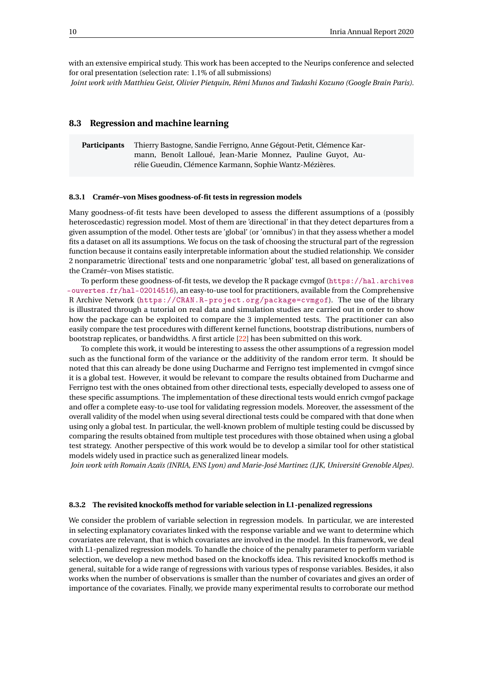with an extensive empirical study. This work has been accepted to the Neurips conference and selected for oral presentation (selection rate: 1.1% of all submissions) *Joint work with Matthieu Geist, Olivier Pietquin, Rémi Munos and Tadashi Kozuno (Google Brain Paris).*

#### <span id="page-12-0"></span>**8.3 Regression and machine learning**

**Participants** Thierry Bastogne, Sandie Ferrigno, Anne Gégout-Petit, Clémence Karmann, Benoît Lalloué, Jean-Marie Monnez, Pauline Guyot, Aurélie Gueudin, Clémence Karmann, Sophie Wantz-Mézières.

#### <span id="page-12-1"></span>**8.3.1 Cramér–von Mises goodness-of-fit tests in regression models**

Many goodness-of-fit tests have been developed to assess the different assumptions of a (possibly heteroscedastic) regression model. Most of them are 'directional' in that they detect departures from a given assumption of the model. Other tests are 'global' (or 'omnibus') in that they assess whether a model fits a dataset on all its assumptions. We focus on the task of choosing the structural part of the regression function because it contains easily interpretable information about the studied relationship. We consider 2 nonparametric 'directional' tests and one nonparametric 'global' test, all based on generalizations of the Cramér–von Mises statistic.

To perform these goodness-of-fit tests, we develop the R package cvmgof ([https://hal.archives](https://hal.archives-ouvertes.fr/hal-02014516) [-ouvertes.fr/hal-02014516](https://hal.archives-ouvertes.fr/hal-02014516)), an easy-to-use tool for practitioners, available from the Comprehensive R Archive Network (<https://CRAN.R-project.org/package=cvmgof>). The use of the library is illustrated through a tutorial on real data and simulation studies are carried out in order to show how the package can be exploited to compare the 3 implemented tests. The practitioner can also easily compare the test procedures with different kernel functions, bootstrap distributions, numbers of bootstrap replicates, or bandwidths. A first article [\[22\]](#page-22-8) has been submitted on this work.

To complete this work, it would be interesting to assess the other assumptions of a regression model such as the functional form of the variance or the additivity of the random error term. It should be noted that this can already be done using Ducharme and Ferrigno test implemented in cvmgof since it is a global test. However, it would be relevant to compare the results obtained from Ducharme and Ferrigno test with the ones obtained from other directional tests, especially developed to assess one of these specific assumptions. The implementation of these directional tests would enrich cvmgof package and offer a complete easy-to-use tool for validating regression models. Moreover, the assessment of the overall validity of the model when using several directional tests could be compared with that done when using only a global test. In particular, the well-known problem of multiple testing could be discussed by comparing the results obtained from multiple test procedures with those obtained when using a global test strategy. Another perspective of this work would be to develop a similar tool for other statistical models widely used in practice such as generalized linear models.

*Join work with Romain Azaïs (INRIA, ENS Lyon) and Marie-José Martinez (LJK, Université Grenoble Alpes).*

#### <span id="page-12-2"></span>**8.3.2 The revisited knockoffs method for variable selection in L1-penalized regressions**

We consider the problem of variable selection in regression models. In particular, we are interested in selecting explanatory covariates linked with the response variable and we want to determine which covariates are relevant, that is which covariates are involved in the model. In this framework, we deal with L1-penalized regression models. To handle the choice of the penalty parameter to perform variable selection, we develop a new method based on the knockoffs idea. This revisited knockoffs method is general, suitable for a wide range of regressions with various types of response variables. Besides, it also works when the number of observations is smaller than the number of covariates and gives an order of importance of the covariates. Finally, we provide many experimental results to corroborate our method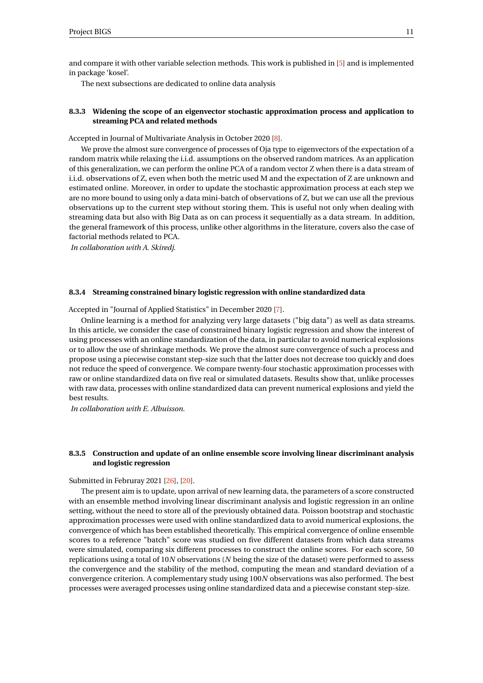and compare it with other variable selection methods. This work is published in [\[5\]](#page-20-4) and is implemented in package 'kosel'.

The next subsections are dedicated to online data analysis

#### <span id="page-13-0"></span>**8.3.3 Widening the scope of an eigenvector stochastic approximation process and application to streaming PCA and related methods**

Accepted in Journal of Multivariate Analysis in October 2020 [\[8\]](#page-20-5).

We prove the almost sure convergence of processes of Oja type to eigenvectors of the expectation of a random matrix while relaxing the i.i.d. assumptions on the observed random matrices. As an application of this generalization, we can perform the online PCA of a random vector Z when there is a data stream of i.i.d. observations of Z, even when both the metric used M and the expectation of Z are unknown and estimated online. Moreover, in order to update the stochastic approximation process at each step we are no more bound to using only a data mini-batch of observations of Z, but we can use all the previous observations up to the current step without storing them. This is useful not only when dealing with streaming data but also with Big Data as on can process it sequentially as a data stream. In addition, the general framework of this process, unlike other algorithms in the literature, covers also the case of factorial methods related to PCA.

*In collaboration with A. Skiredj.*

#### <span id="page-13-1"></span>**8.3.4 Streaming constrained binary logistic regression with online standardized data**

Accepted in "Journal of Applied Statistics" in December 2020 [\[7\]](#page-20-6).

Online learning is a method for analyzing very large datasets ("big data") as well as data streams. In this article, we consider the case of constrained binary logistic regression and show the interest of using processes with an online standardization of the data, in particular to avoid numerical explosions or to allow the use of shrinkage methods. We prove the almost sure convergence of such a process and propose using a piecewise constant step-size such that the latter does not decrease too quickly and does not reduce the speed of convergence. We compare twenty-four stochastic approximation processes with raw or online standardized data on five real or simulated datasets. Results show that, unlike processes with raw data, processes with online standardized data can prevent numerical explosions and yield the best results.

*In collaboration with E. Albuisson.*

#### <span id="page-13-2"></span>**8.3.5 Construction and update of an online ensemble score involving linear discriminant analysis and logistic regression**

#### Submitted in Februray 2021 [\[26\]](#page-22-9), [\[20\]](#page-21-3).

The present aim is to update, upon arrival of new learning data, the parameters of a score constructed with an ensemble method involving linear discriminant analysis and logistic regression in an online setting, without the need to store all of the previously obtained data. Poisson bootstrap and stochastic approximation processes were used with online standardized data to avoid numerical explosions, the convergence of which has been established theoretically. This empirical convergence of online ensemble scores to a reference "batch" score was studied on five different datasets from which data streams were simulated, comparing six different processes to construct the online scores. For each score, 50 replications using a total of 10*N* observations (*N* being the size of the dataset) were performed to assess the convergence and the stability of the method, computing the mean and standard deviation of a convergence criterion. A complementary study using 100*N* observations was also performed. The best processes were averaged processes using online standardized data and a piecewise constant step-size.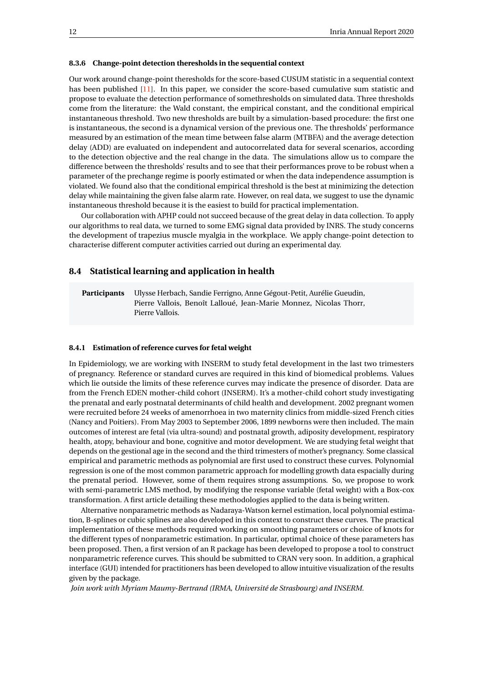#### <span id="page-14-0"></span>**8.3.6 Change-point detection theresholds in the sequential context**

Our work around change-point theresholds for the score-based CUSUM statistic in a sequential context has been published [\[11\]](#page-21-4). In this paper, we consider the score-based cumulative sum statistic and propose to evaluate the detection performance of somethresholds on simulated data. Three thresholds come from the literature: the Wald constant, the empirical constant, and the conditional empirical instantaneous threshold. Two new thresholds are built by a simulation-based procedure: the first one is instantaneous, the second is a dynamical version of the previous one. The thresholds' performance measured by an estimation of the mean time between false alarm (MTBFA) and the average detection delay (ADD) are evaluated on independent and autocorrelated data for several scenarios, according to the detection objective and the real change in the data. The simulations allow us to compare the difference between the thresholds' results and to see that their performances prove to be robust when a parameter of the prechange regime is poorly estimated or when the data independence assumption is violated. We found also that the conditional empirical threshold is the best at minimizing the detection delay while maintaining the given false alarm rate. However, on real data, we suggest to use the dynamic instantaneous threshold because it is the easiest to build for practical implementation.

Our collaboration with APHP could not succeed because of the great delay in data collection. To apply our algorithms to real data, we turned to some EMG signal data provided by INRS. The study concerns the development of trapezius muscle myalgia in the workplace. We apply change-point detection to characterise different computer activities carried out during an experimental day.

#### <span id="page-14-1"></span>**8.4 Statistical learning and application in health**

**Participants** Ulysse Herbach, Sandie Ferrigno, Anne Gégout-Petit, Aurélie Gueudin, Pierre Vallois, Benoît Lalloué, Jean-Marie Monnez, Nicolas Thorr, Pierre Vallois.

#### <span id="page-14-2"></span>**8.4.1 Estimation of reference curves for fetal weight**

In Epidemiology, we are working with INSERM to study fetal development in the last two trimesters of pregnancy. Reference or standard curves are required in this kind of biomedical problems. Values which lie outside the limits of these reference curves may indicate the presence of disorder. Data are from the French EDEN mother-child cohort (INSERM). It's a mother-child cohort study investigating the prenatal and early postnatal determinants of child health and development. 2002 pregnant women were recruited before 24 weeks of amenorrhoea in two maternity clinics from middle-sized French cities (Nancy and Poitiers). From May 2003 to September 2006, 1899 newborns were then included. The main outcomes of interest are fetal (via ultra-sound) and postnatal growth, adiposity development, respiratory health, atopy, behaviour and bone, cognitive and motor development. We are studying fetal weight that depends on the gestional age in the second and the third trimesters of mother's pregnancy. Some classical empirical and parametric methods as polynomial are first used to construct these curves. Polynomial regression is one of the most common parametric approach for modelling growth data espacially during the prenatal period. However, some of them requires strong assumptions. So, we propose to work with semi-parametric LMS method, by modifying the response variable (fetal weight) with a Box-cox transformation. A first article detailing these methodologies applied to the data is being written.

Alternative nonparametric methods as Nadaraya-Watson kernel estimation, local polynomial estimation, B-splines or cubic splines are also developed in this context to construct these curves. The practical implementation of these methods required working on smoothing parameters or choice of knots for the different types of nonparametric estimation. In particular, optimal choice of these parameters has been proposed. Then, a first version of an R package has been developed to propose a tool to construct nonparametric reference curves. This should be submitted to CRAN very soon. In addition, a graphical interface (GUI) intended for practitioners has been developed to allow intuitive visualization of the results given by the package.

*Join work with Myriam Maumy-Bertrand (IRMA, Université de Strasbourg) and INSERM.*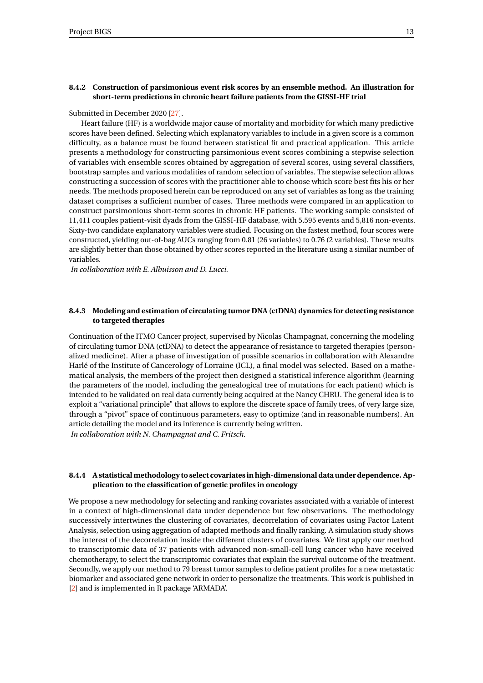#### <span id="page-15-0"></span>**8.4.2 Construction of parsimonious event risk scores by an ensemble method. An illustration for short-term predictions in chronic heart failure patients from the GISSI-HF trial**

#### Submitted in December 2020 [\[27\]](#page-22-10).

Heart failure (HF) is a worldwide major cause of mortality and morbidity for which many predictive scores have been defined. Selecting which explanatory variables to include in a given score is a common difficulty, as a balance must be found between statistical fit and practical application. This article presents a methodology for constructing parsimonious event scores combining a stepwise selection of variables with ensemble scores obtained by aggregation of several scores, using several classifiers, bootstrap samples and various modalities of random selection of variables. The stepwise selection allows constructing a succession of scores with the practitioner able to choose which score best fits his or her needs. The methods proposed herein can be reproduced on any set of variables as long as the training dataset comprises a sufficient number of cases. Three methods were compared in an application to construct parsimonious short-term scores in chronic HF patients. The working sample consisted of 11,411 couples patient-visit dyads from the GISSI-HF database, with 5,595 events and 5,816 non-events. Sixty-two candidate explanatory variables were studied. Focusing on the fastest method, four scores were constructed, yielding out-of-bag AUCs ranging from 0.81 (26 variables) to 0.76 (2 variables). These results are slightly better than those obtained by other scores reported in the literature using a similar number of variables.

*In collaboration with E. Albuisson and D. Lucci.*

#### <span id="page-15-1"></span>**8.4.3 Modeling and estimation of circulating tumor DNA (ctDNA) dynamics for detecting resistance to targeted therapies**

Continuation of the ITMO Cancer project, supervised by Nicolas Champagnat, concerning the modeling of circulating tumor DNA (ctDNA) to detect the appearance of resistance to targeted therapies (personalized medicine). After a phase of investigation of possible scenarios in collaboration with Alexandre Harlé of the Institute of Cancerology of Lorraine (ICL), a final model was selected. Based on a mathematical analysis, the members of the project then designed a statistical inference algorithm (learning the parameters of the model, including the genealogical tree of mutations for each patient) which is intended to be validated on real data currently being acquired at the Nancy CHRU. The general idea is to exploit a "variational principle" that allows to explore the discrete space of family trees, of very large size, through a "pivot" space of continuous parameters, easy to optimize (and in reasonable numbers). An article detailing the model and its inference is currently being written.

*In collaboration with N. Champagnat and C. Fritsch.*

#### <span id="page-15-2"></span>**8.4.4 A statistical methodology to select covariates in high-dimensional data under dependence. Application to the classification of genetic profiles in oncology**

We propose a new methodology for selecting and ranking covariates associated with a variable of interest in a context of high-dimensional data under dependence but few observations. The methodology successively intertwines the clustering of covariates, decorrelation of covariates using Factor Latent Analysis, selection using aggregation of adapted methods and finally ranking. A simulation study shows the interest of the decorrelation inside the different clusters of covariates. We first apply our method to transcriptomic data of 37 patients with advanced non-small-cell lung cancer who have received chemotherapy, to select the transcriptomic covariates that explain the survival outcome of the treatment. Secondly, we apply our method to 79 breast tumor samples to define patient profiles for a new metastatic biomarker and associated gene network in order to personalize the treatments. This work is published in [\[2\]](#page-20-7) and is implemented in R package 'ARMADA'.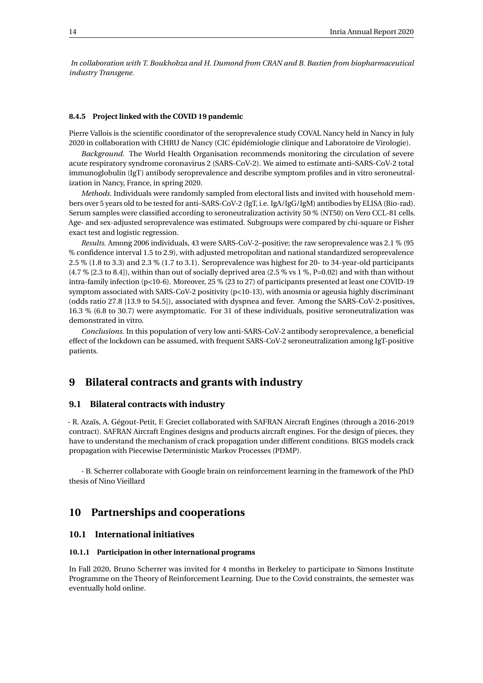*In collaboration with T. Boukhobza and H. Dumond from CRAN and B. Bastien from biopharmaceutical industry Transgene.*

#### <span id="page-16-0"></span>**8.4.5 Project linked with the COVID 19 pandemic**

Pierre Vallois is the scientific coordinator of the seroprevalence study COVAL Nancy held in Nancy in July 2020 in collaboration with CHRU de Nancy (CIC épidémiologie clinique and Laboratoire de Virologie).

*Background.* The World Health Organisation recommends monitoring the circulation of severe acute respiratory syndrome coronavirus 2 (SARS-CoV-2). We aimed to estimate anti–SARS-CoV-2 total immunoglobulin (IgT) antibody seroprevalence and describe symptom profiles and in vitro seroneutralization in Nancy, France, in spring 2020.

*Methods.* Individuals were randomly sampled from electoral lists and invited with household members over 5 years old to be tested for anti–SARS-CoV-2 (IgT, i.e. IgA/IgG/IgM) antibodies by ELISA (Bio-rad). Serum samples were classified according to seroneutralization activity 50 % (NT50) on Vero CCL-81 cells. Age- and sex-adjusted seroprevalence was estimated. Subgroups were compared by chi-square or Fisher exact test and logistic regression.

*Results.* Among 2006 individuals, 43 were SARS-CoV-2–positive; the raw seroprevalence was 2.1 % (95 % confidence interval 1.5 to 2.9), with adjusted metropolitan and national standardized seroprevalence 2.5 % (1.8 to 3.3) and 2.3 % (1.7 to 3.1). Seroprevalence was highest for 20- to 34-year-old participants  $(4.7\%$  [2.3 to 8.4]), within than out of socially deprived area (2.5 % vs 1 %, P=0.02) and with than without intra-family infection (p<10-6). Moreover, 25 % (23 to 27) of participants presented at least one COVID-19 symptom associated with SARS-CoV-2 positivity (p<10-13), with anosmia or ageusia highly discriminant (odds ratio 27.8 [13.9 to 54.5]), associated with dyspnea and fever. Among the SARS-CoV-2-positives, 16.3 % (6.8 to 30.7) were asymptomatic. For 31 of these individuals, positive seroneutralization was demonstrated in vitro.

*Conclusions.* In this population of very low anti-SARS-CoV-2 antibody seroprevalence, a beneficial effect of the lockdown can be assumed, with frequent SARS-CoV-2 seroneutralization among IgT-positive patients.

## <span id="page-16-1"></span>**9 Bilateral contracts and grants with industry**

#### <span id="page-16-2"></span>**9.1 Bilateral contracts with industry**

- R. Azaïs, A. Gégout-Petit, F. Greciet collaborated with SAFRAN Aircraft Engines (through a 2016-2019 contract). SAFRAN Aircraft Engines designs and products aircraft engines. For the design of pieces, they have to understand the mechanism of crack propagation under different conditions. BIGS models crack propagation with Piecewise Deterministic Markov Processes (PDMP).

- B. Scherrer collaborate with Google brain on reinforcement learning in the framework of the PhD thesis of Nino Vieillard

## <span id="page-16-3"></span>**10 Partnerships and cooperations**

#### <span id="page-16-4"></span>**10.1 International initiatives**

#### <span id="page-16-5"></span>**10.1.1 Participation in other international programs**

In Fall 2020, Bruno Scherrer was invited for 4 months in Berkeley to participate to Simons Institute Programme on the Theory of Reinforcement Learning. Due to the Covid constraints, the semester was eventually hold online.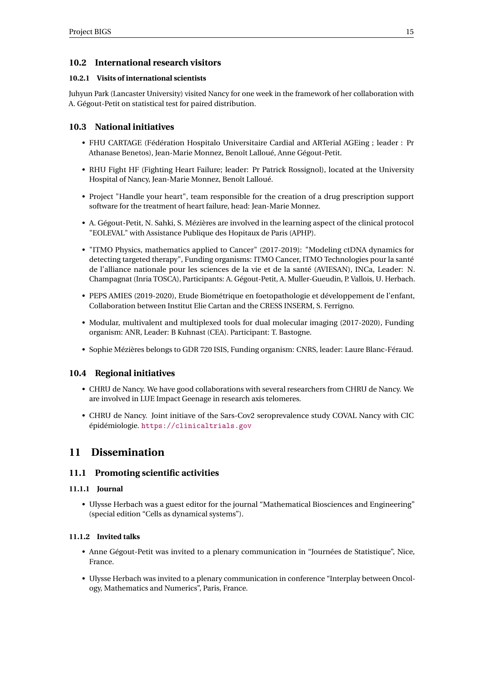## <span id="page-17-0"></span>**10.2 International research visitors**

## <span id="page-17-1"></span>**10.2.1 Visits of international scientists**

Juhyun Park (Lancaster University) visited Nancy for one week in the framework of her collaboration with A. Gégout-Petit on statistical test for paired distribution.

## <span id="page-17-2"></span>**10.3 National initiatives**

- FHU CARTAGE (Fédération Hospitalo Universitaire Cardial and ARTerial AGEing ; leader : Pr Athanase Benetos), Jean-Marie Monnez, Benoît Lalloué, Anne Gégout-Petit.
- RHU Fight HF (Fighting Heart Failure; leader: Pr Patrick Rossignol), located at the University Hospital of Nancy, Jean-Marie Monnez, Benoît Lalloué.
- Project "Handle your heart", team responsible for the creation of a drug prescription support software for the treatment of heart failure, head: Jean-Marie Monnez.
- A. Gégout-Petit, N. Sahki, S. Mézières are involved in the learning aspect of the clinical protocol "EOLEVAL" with Assistance Publique des Hopitaux de Paris (APHP).
- "ITMO Physics, mathematics applied to Cancer" (2017-2019): "Modeling ctDNA dynamics for detecting targeted therapy", Funding organisms: ITMO Cancer, ITMO Technologies pour la santé de l'alliance nationale pour les sciences de la vie et de la santé (AVIESAN), INCa, Leader: N. Champagnat (Inria TOSCA), Participants: A. Gégout-Petit, A. Muller-Gueudin, P. Vallois, U. Herbach.
- PEPS AMIES (2019-2020), Etude Biométrique en foetopathologie et développement de l'enfant, Collaboration between Institut Elie Cartan and the CRESS INSERM, S. Ferrigno.
- Modular, multivalent and multiplexed tools for dual molecular imaging (2017-2020), Funding organism: ANR, Leader: B Kuhnast (CEA). Participant: T. Bastogne.
- Sophie Mézières belongs to GDR 720 ISIS, Funding organism: CNRS, leader: Laure Blanc-Féraud.

## <span id="page-17-3"></span>**10.4 Regional initiatives**

- CHRU de Nancy. We have good collaborations with several researchers from CHRU de Nancy. We are involved in LUE Impact Geenage in research axis telomeres.
- CHRU de Nancy. Joint initiave of the Sars-Cov2 seroprevalence study COVAL Nancy with CIC épidémiologie. <https://clinicaltrials.gov>

## <span id="page-17-4"></span>**11 Dissemination**

## <span id="page-17-5"></span>**11.1 Promoting scientific activities**

## <span id="page-17-6"></span>**11.1.1 Journal**

• Ulysse Herbach was a guest editor for the journal "Mathematical Biosciences and Engineering" (special edition "Cells as dynamical systems").

## <span id="page-17-7"></span>**11.1.2 Invited talks**

- Anne Gégout-Petit was invited to a plenary communication in "Journées de Statistique", Nice, France.
- Ulysse Herbach was invited to a plenary communication in conference "Interplay between Oncology, Mathematics and Numerics", Paris, France.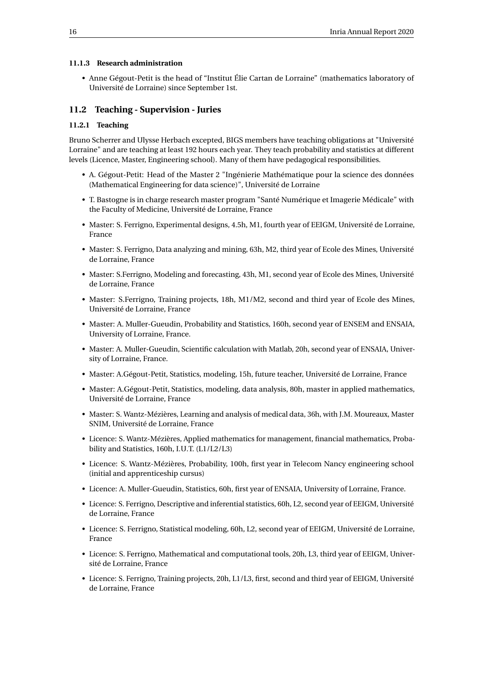#### <span id="page-18-0"></span>**11.1.3 Research administration**

• Anne Gégout-Petit is the head of "Institut Élie Cartan de Lorraine" (mathematics laboratory of Université de Lorraine) since September 1st.

#### <span id="page-18-1"></span>**11.2 Teaching - Supervision - Juries**

#### <span id="page-18-2"></span>**11.2.1 Teaching**

Bruno Scherrer and Ulysse Herbach excepted, BIGS members have teaching obligations at "Université Lorraine" and are teaching at least 192 hours each year. They teach probability and statistics at different levels (Licence, Master, Engineering school). Many of them have pedagogical responsibilities.

- A. Gégout-Petit: Head of the Master 2 "Ingénierie Mathématique pour la science des données (Mathematical Engineering for data science)", Université de Lorraine
- T. Bastogne is in charge research master program "Santé Numérique et Imagerie Médicale" with the Faculty of Medicine, Université de Lorraine, France
- Master: S. Ferrigno, Experimental designs, 4.5h, M1, fourth year of EEIGM, Université de Lorraine, France
- Master: S. Ferrigno, Data analyzing and mining, 63h, M2, third year of Ecole des Mines, Université de Lorraine, France
- Master: S.Ferrigno, Modeling and forecasting, 43h, M1, second year of Ecole des Mines, Université de Lorraine, France
- Master: S.Ferrigno, Training projects, 18h, M1/M2, second and third year of Ecole des Mines, Université de Lorraine, France
- Master: A. Muller-Gueudin, Probability and Statistics, 160h, second year of ENSEM and ENSAIA, University of Lorraine, France.
- Master: A. Muller-Gueudin, Scientific calculation with Matlab, 20h, second year of ENSAIA, University of Lorraine, France.
- Master: A.Gégout-Petit, Statistics, modeling, 15h, future teacher, Université de Lorraine, France
- Master: A.Gégout-Petit, Statistics, modeling, data analysis, 80h, master in applied mathematics, Université de Lorraine, France
- Master: S. Wantz-Mézières, Learning and analysis of medical data, 36h, with J.M. Moureaux, Master SNIM, Université de Lorraine, France
- Licence: S. Wantz-Mézières, Applied mathematics for management, financial mathematics, Probability and Statistics, 160h, I.U.T. (L1/L2/L3)
- Licence: S. Wantz-Mézières, Probability, 100h, first year in Telecom Nancy engineering school (initial and apprenticeship cursus)
- Licence: A. Muller-Gueudin, Statistics, 60h, first year of ENSAIA, University of Lorraine, France.
- Licence: S. Ferrigno, Descriptive and inferential statistics, 60h, L2, second year of EEIGM, Université de Lorraine, France
- Licence: S. Ferrigno, Statistical modeling, 60h, L2, second year of EEIGM, Université de Lorraine, France
- Licence: S. Ferrigno, Mathematical and computational tools, 20h, L3, third year of EEIGM, Université de Lorraine, France
- Licence: S. Ferrigno, Training projects, 20h, L1/L3, first, second and third year of EEIGM, Université de Lorraine, France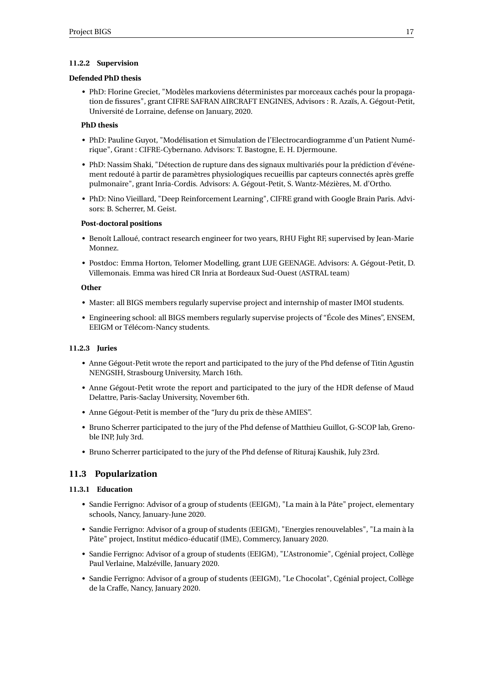#### <span id="page-19-0"></span>**11.2.2 Supervision**

#### **Defended PhD thesis**

• PhD: Florine Greciet, "Modèles markoviens déterministes par morceaux cachés pour la propagation de fissures", grant CIFRE SAFRAN AIRCRAFT ENGINES, Advisors : R. Azaïs, A. Gégout-Petit, Université de Lorraine, defense on January, 2020.

#### **PhD thesis**

- PhD: Pauline Guyot, "Modélisation et Simulation de l'Electrocardiogramme d'un Patient Numérique", Grant : CIFRE-Cybernano. Advisors: T. Bastogne, E. H. Djermoune.
- PhD: Nassim Shaki, "Détection de rupture dans des signaux multivariés pour la prédiction d'événement redouté à partir de paramètres physiologiques recueillis par capteurs connectés après greffe pulmonaire", grant Inria-Cordis. Advisors: A. Gégout-Petit, S. Wantz-Mézières, M. d'Ortho.
- PhD: Nino Vieillard, "Deep Reinforcement Learning", CIFRE grand with Google Brain Paris. Advisors: B. Scherrer, M. Geist.

#### **Post-doctoral positions**

- Benoît Lalloué, contract research engineer for two years, RHU Fight RF, supervised by Jean-Marie Monnez.
- Postdoc: Emma Horton, Telomer Modelling, grant LUE GEENAGE. Advisors: A. Gégout-Petit, D. Villemonais. Emma was hired CR Inria at Bordeaux Sud-Ouest (ASTRAL team)

#### **Other**

- Master: all BIGS members regularly supervise project and internship of master IMOI students.
- Engineering school: all BIGS members regularly supervise projects of "École des Mines", ENSEM, EEIGM or Télécom-Nancy students.

#### <span id="page-19-1"></span>**11.2.3 Juries**

- Anne Gégout-Petit wrote the report and participated to the jury of the Phd defense of Titin Agustin NENGSIH, Strasbourg University, March 16th.
- Anne Gégout-Petit wrote the report and participated to the jury of the HDR defense of Maud Delattre, Paris-Saclay University, November 6th.
- Anne Gégout-Petit is member of the "Jury du prix de thèse AMIES".
- Bruno Scherrer participated to the jury of the Phd defense of Matthieu Guillot, G-SCOP lab, Grenoble INP, July 3rd.
- Bruno Scherrer participated to the jury of the Phd defense of Rituraj Kaushik, July 23rd.

## <span id="page-19-2"></span>**11.3 Popularization**

#### <span id="page-19-3"></span>**11.3.1 Education**

- Sandie Ferrigno: Advisor of a group of students (EEIGM), "La main à la Pâte" project, elementary schools, Nancy, January-June 2020.
- Sandie Ferrigno: Advisor of a group of students (EEIGM), "Energies renouvelables", "La main à la Pâte" project, Institut médico-éducatif (IME), Commercy, January 2020.
- Sandie Ferrigno: Advisor of a group of students (EEIGM), "L'Astronomie", Cgénial project, Collège Paul Verlaine, Malzéville, January 2020.
- Sandie Ferrigno: Advisor of a group of students (EEIGM), "Le Chocolat", Cgénial project, Collège de la Craffe, Nancy, January 2020.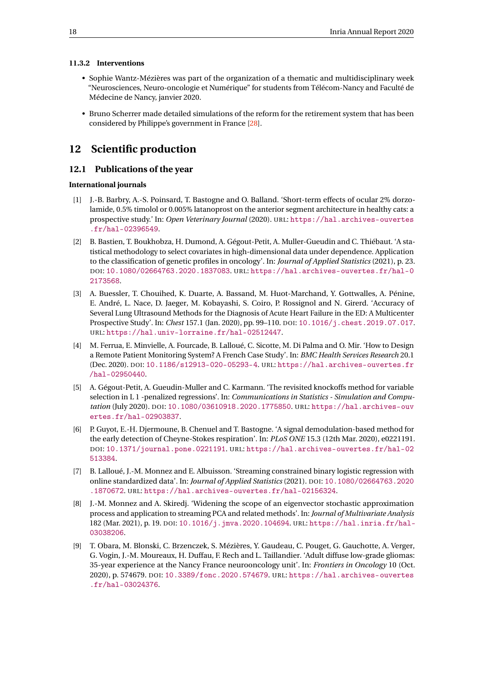#### <span id="page-20-0"></span>**11.3.2 Interventions**

- Sophie Wantz-Mézières was part of the organization of a thematic and multidisciplinary week "Neurosciences, Neuro-oncologie et Numérique" for students from Télécom-Nancy and Faculté de Médecine de Nancy, janvier 2020.
- Bruno Scherrer made detailed simulations of the reform for the retirement system that has been considered by Philippe's government in France [\[28\]](#page-22-11).

## <span id="page-20-1"></span>**12 Scientific production**

#### <span id="page-20-2"></span>**12.1 Publications of the year**

#### **International journals**

- [1] J.-B. Barbry, A.-S. Poinsard, T. Bastogne and O. Balland. 'Short-term effects of ocular 2% dorzolamide, 0.5% timolol or 0.005% latanoprost on the anterior segment architecture in healthy cats: a prospective study.' In: *Open Veterinary Journal* (2020). URL: [https://hal.archives-ouvertes](https://hal.archives-ouvertes.fr/hal-02396549) [.fr/hal-02396549](https://hal.archives-ouvertes.fr/hal-02396549).
- <span id="page-20-7"></span>[2] B. Bastien, T. Boukhobza, H. Dumond, A. Gégout-Petit, A. Muller-Gueudin and C. Thiébaut. 'A statistical methodology to select covariates in high-dimensional data under dependence. Application to the classification of genetic profiles in oncology'. In: *Journal of Applied Statistics* (2021), p. 23. DOI: [10.1080/02664763.2020.1837083](https://doi.org/10.1080/02664763.2020.1837083). URL: [https://hal.archives-ouvertes.fr/hal-0](https://hal.archives-ouvertes.fr/hal-02173568) [2173568](https://hal.archives-ouvertes.fr/hal-02173568).
- [3] A. Buessler, T. Chouihed, K. Duarte, A. Bassand, M. Huot-Marchand, Y. Gottwalles, A. Pénine, E. André, L. Nace, D. Jaeger, M. Kobayashi, S. Coiro, P. Rossignol and N. Girerd. 'Accuracy of Several Lung Ultrasound Methods for the Diagnosis of Acute Heart Failure in the ED: A Multicenter Prospective Study'. In: *Chest* 157.1 (Jan. 2020), pp. 99–110. DOI: [10.1016/j.chest.2019.07.017](https://doi.org/10.1016/j.chest.2019.07.017). URL: <https://hal.univ-lorraine.fr/hal-02512447>.
- [4] M. Ferrua, E. Minvielle, A. Fourcade, B. Lalloué, C. Sicotte, M. Di Palma and O. Mir. 'How to Design a Remote Patient Monitoring System? A French Case Study'. In: *BMC Health Services Research* 20.1 (Dec. 2020). DOI: [10.1186/s12913-020-05293-4](https://doi.org/10.1186/s12913-020-05293-4). URL: [https://hal.archives-ouvertes.fr](https://hal.archives-ouvertes.fr/hal-02950440) [/hal-02950440](https://hal.archives-ouvertes.fr/hal-02950440).
- <span id="page-20-4"></span>[5] A. Gégout-Petit, A. Gueudin-Muller and C. Karmann. 'The revisited knockoffs method for variable selection in L 1 -penalized regressions'. In: *Communications in Statistics - Simulation and Computation* (July 2020). DOI: [10.1080/03610918.2020.1775850](https://doi.org/10.1080/03610918.2020.1775850). URL: [https://hal.archives-ouv](https://hal.archives-ouvertes.fr/hal-02903837) [ertes.fr/hal-02903837](https://hal.archives-ouvertes.fr/hal-02903837).
- [6] P. Guyot, E.-H. Djermoune, B. Chenuel and T. Bastogne. 'A signal demodulation-based method for the early detection of Cheyne-Stokes respiration'. In: *PLoS ONE* 15.3 (12th Mar. 2020), e0221191. DOI: [10.1371/journal.pone.0221191](https://doi.org/10.1371/journal.pone.0221191). URL: [https://hal.archives-ouvertes.fr/hal-02](https://hal.archives-ouvertes.fr/hal-02513384) [513384](https://hal.archives-ouvertes.fr/hal-02513384).
- <span id="page-20-6"></span>[7] B. Lalloué, J.-M. Monnez and E. Albuisson. 'Streaming constrained binary logistic regression with online standardized data'. In: *Journal of Applied Statistics* (2021). DOI: [10.1080/02664763.2020](https://doi.org/10.1080/02664763.2020.1870672) [.1870672](https://doi.org/10.1080/02664763.2020.1870672). URL: <https://hal.archives-ouvertes.fr/hal-02156324>.
- <span id="page-20-5"></span>[8] J.-M. Monnez and A. Skiredj. 'Widening the scope of an eigenvector stochastic approximation process and application to streaming PCA and related methods'. In: *Journal of Multivariate Analysis* 182 (Mar. 2021), p. 19. DOI: [10.1016/j.jmva.2020.104694](https://doi.org/10.1016/j.jmva.2020.104694). URL: [https://hal.inria.fr/hal-](https://hal.inria.fr/hal-03038206)[03038206](https://hal.inria.fr/hal-03038206).
- <span id="page-20-3"></span>[9] T. Obara, M. Blonski, C. Brzenczek, S. Mézières, Y. Gaudeau, C. Pouget, G. Gauchotte, A. Verger, G. Vogin, J.-M. Moureaux, H. Duffau, F. Rech and L. Taillandier. 'Adult diffuse low-grade gliomas: 35-year experience at the Nancy France neurooncology unit'. In: *Frontiers in Oncology* 10 (Oct. 2020), p. 574679. DOI: [10.3389/fonc.2020.574679](https://doi.org/10.3389/fonc.2020.574679). URL: [https://hal.archives-ouvertes](https://hal.archives-ouvertes.fr/hal-03024376) [.fr/hal-03024376](https://hal.archives-ouvertes.fr/hal-03024376).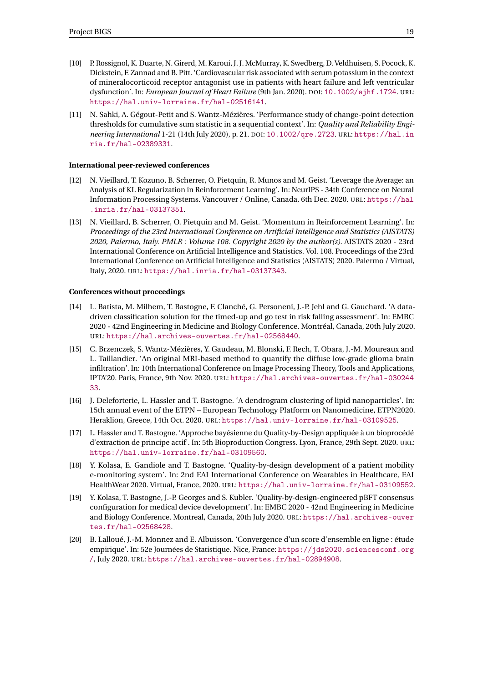- [10] P. Rossignol, K. Duarte, N. Girerd, M. Karoui, J. J. McMurray, K. Swedberg, D. Veldhuisen, S. Pocock, K. Dickstein, F. Zannad and B. Pitt. 'Cardiovascular risk associated with serum potassium in the context of mineralocorticoid receptor antagonist use in patients with heart failure and left ventricular dysfunction'. In: *European Journal of Heart Failure* (9th Jan. 2020). DOI: [10.1002/ejhf.1724](https://doi.org/10.1002/ejhf.1724). URL: <https://hal.univ-lorraine.fr/hal-02516141>.
- <span id="page-21-4"></span>[11] N. Sahki, A. Gégout-Petit and S. Wantz-Mézières. 'Performance study of change-point detection thresholds for cumulative sum statistic in a sequential context'. In: *Quality and Reliability Engineering International* 1-21 (14th July 2020), p. 21. DOI: [10.1002/qre.2723](https://doi.org/10.1002/qre.2723). URL: [https://hal.in](https://hal.inria.fr/hal-02389331) [ria.fr/hal-02389331](https://hal.inria.fr/hal-02389331).

#### **International peer-reviewed conferences**

- <span id="page-21-2"></span>[12] N. Vieillard, T. Kozuno, B. Scherrer, O. Pietquin, R. Munos and M. Geist. 'Leverage the Average: an Analysis of KL Regularization in Reinforcement Learning'. In: NeurIPS - 34th Conference on Neural Information Processing Systems. Vancouver / Online, Canada, 6th Dec. 2020. URL: [https://hal](https://hal.inria.fr/hal-03137351) [.inria.fr/hal-03137351](https://hal.inria.fr/hal-03137351).
- <span id="page-21-1"></span>[13] N. Vieillard, B. Scherrer, O. Pietquin and M. Geist. 'Momentum in Reinforcement Learning'. In: *Proceedings of the 23rd International Conference on Artificial Intelligence and Statistics (AISTATS) 2020, Palermo, Italy. PMLR : Volume 108. Copyright 2020 by the author(s).* AISTATS 2020 - 23rd International Conference on Artificial Intelligence and Statistics. Vol. 108. Proceedings of the 23rd International Conference on Artificial Intelligence and Statistics (AISTATS) 2020. Palermo / Virtual, Italy, 2020. URL: <https://hal.inria.fr/hal-03137343>.

#### **Conferences without proceedings**

- [14] L. Batista, M. Milhem, T. Bastogne, F. Clanché, G. Personeni, J.-P. Jehl and G. Gauchard. 'A datadriven classification solution for the timed-up and go test in risk falling assessment'. In: EMBC 2020 - 42nd Engineering in Medicine and Biology Conference. Montréal, Canada, 20th July 2020. URL: <https://hal.archives-ouvertes.fr/hal-02568440>.
- <span id="page-21-0"></span>[15] C. Brzenczek, S. Wantz-Mézières, Y. Gaudeau, M. Blonski, F. Rech, T. Obara, J.-M. Moureaux and L. Taillandier. 'An original MRI-based method to quantify the diffuse low-grade glioma brain infiltration'. In: 10th International Conference on Image Processing Theory, Tools and Applications, IPTA'20. Paris, France, 9th Nov. 2020. URL: [https://hal.archives-ouvertes.fr/hal-030244](https://hal.archives-ouvertes.fr/hal-03024433) [33](https://hal.archives-ouvertes.fr/hal-03024433).
- [16] J. Deleforterie, L. Hassler and T. Bastogne. 'A dendrogram clustering of lipid nanoparticles'. In: 15th annual event of the ETPN – European Technology Platform on Nanomedicine, ETPN2020. Heraklion, Greece, 14th Oct. 2020. URL: <https://hal.univ-lorraine.fr/hal-03109525>.
- [17] L. Hassler and T. Bastogne. 'Approche bayésienne du Quality-by-Design appliquée à un bioprocédé d'extraction de principe actif'. In: 5th Bioproduction Congress. Lyon, France, 29th Sept. 2020. URL: <https://hal.univ-lorraine.fr/hal-03109560>.
- [18] Y. Kolasa, E. Gandiole and T. Bastogne. 'Quality-by-design development of a patient mobility e-monitoring system'. In: 2nd EAI International Conference on Wearables in Healthcare, EAI HealthWear 2020. Virtual, France, 2020. URL: <https://hal.univ-lorraine.fr/hal-03109552>.
- [19] Y. Kolasa, T. Bastogne, J.-P. Georges and S. Kubler. 'Quality-by-design-engineered pBFT consensus configuration for medical device development'. In: EMBC 2020 - 42nd Engineering in Medicine and Biology Conference. Montreal, Canada, 20th July 2020. URL: [https://hal.archives-ouver](https://hal.archives-ouvertes.fr/hal-02568428) [tes.fr/hal-02568428](https://hal.archives-ouvertes.fr/hal-02568428).
- <span id="page-21-3"></span>[20] B. Lalloué, J.-M. Monnez and E. Albuisson. 'Convergence d'un score d'ensemble en ligne : étude empirique'. In: 52e Journées de Statistique. Nice, France: [https://jds2020.sciencesconf.org](https://jds2020.sciencesconf.org/) [/](https://jds2020.sciencesconf.org/), July 2020. URL: <https://hal.archives-ouvertes.fr/hal-02894908>.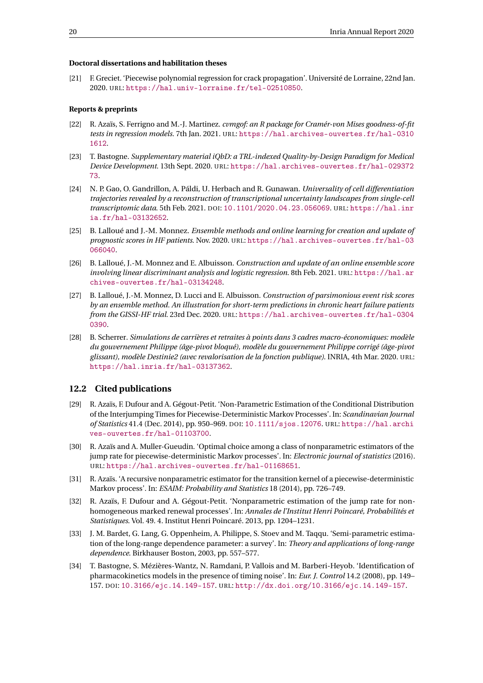#### **Doctoral dissertations and habilitation theses**

[21] F. Greciet. 'Piecewise polynomial regression for crack propagation'. Université de Lorraine, 22nd Jan. 2020. URL: <https://hal.univ-lorraine.fr/tel-02510850>.

#### **Reports & preprints**

- <span id="page-22-8"></span>[22] R. Azaïs, S. Ferrigno and M.-J. Martinez. *cvmgof: an R package for Cramér-von Mises goodness-of-fit tests in regression models*. 7th Jan. 2021. URL: [https://hal.archives-ouvertes.fr/hal-0310](https://hal.archives-ouvertes.fr/hal-03101612) [1612](https://hal.archives-ouvertes.fr/hal-03101612).
- [23] T. Bastogne. *Supplementary material iQbD: a TRL-indexed Quality-by-Design Paradigm for Medical Device Development*. 13th Sept. 2020. URL: [https://hal.archives-ouvertes.fr/hal-029372](https://hal.archives-ouvertes.fr/hal-02937273) [73](https://hal.archives-ouvertes.fr/hal-02937273).
- <span id="page-22-7"></span>[24] N. P. Gao, O. Gandrillon, A. Páldi, U. Herbach and R. Gunawan. *Universality of cell differentiation trajectories revealed by a reconstruction of transcriptional uncertainty landscapes from single-cell transcriptomic data*. 5th Feb. 2021. DOI: [10.1101/2020.04.23.056069](https://doi.org/10.1101/2020.04.23.056069). URL: [https://hal.inr](https://hal.inria.fr/hal-03132652) [ia.fr/hal-03132652](https://hal.inria.fr/hal-03132652).
- [25] B. Lalloué and J.-M. Monnez. *Ensemble methods and online learning for creation and update of prognostic scores in HF patients*. Nov. 2020. URL: [https://hal.archives-ouvertes.fr/hal-03](https://hal.archives-ouvertes.fr/hal-03066040) [066040](https://hal.archives-ouvertes.fr/hal-03066040).
- <span id="page-22-9"></span>[26] B. Lalloué, J.-M. Monnez and E. Albuisson. *Construction and update of an online ensemble score involving linear discriminant analysis and logistic regression*. 8th Feb. 2021. URL: [https://hal.ar](https://hal.archives-ouvertes.fr/hal-03134248) [chives-ouvertes.fr/hal-03134248](https://hal.archives-ouvertes.fr/hal-03134248).
- <span id="page-22-10"></span>[27] B. Lalloué, J.-M. Monnez, D. Lucci and E. Albuisson. *Construction of parsimonious event risk scores by an ensemble method. An illustration for short-term predictions in chronic heart failure patients from the GISSI-HF trial.* 23rd Dec. 2020. URL: [https://hal.archives-ouvertes.fr/hal-0304](https://hal.archives-ouvertes.fr/hal-03040390) [0390](https://hal.archives-ouvertes.fr/hal-03040390).
- <span id="page-22-11"></span>[28] B. Scherrer. *Simulations de carrières et retraites à points dans 3 cadres macro-économiques: modèle du gouvernement Philippe (âge-pivot bloqué), modèle du gouvernement Philippe corrigé (âge-pivot glissant), modèle Destinie2 (avec revalorisation de la fonction publique)*. INRIA, 4th Mar. 2020. URL: <https://hal.inria.fr/hal-03137362>.

#### <span id="page-22-0"></span>**12.2 Cited publications**

- <span id="page-22-3"></span>[29] R. Azaïs, F. Dufour and A. Gégout-Petit. 'Non-Parametric Estimation of the Conditional Distribution of the Interjumping Times for Piecewise-Deterministic Markov Processes'. In: *Scandinavian Journal of Statistics* 41.4 (Dec. 2014), pp. 950–969. DOI: [10.1111/sjos.12076](https://doi.org/10.1111/sjos.12076). URL: [https://hal.archi](https://hal.archives-ouvertes.fr/hal-01103700) [ves-ouvertes.fr/hal-01103700](https://hal.archives-ouvertes.fr/hal-01103700).
- <span id="page-22-5"></span>[30] R. Azaïs and A. Muller-Gueudin. 'Optimal choice among a class of nonparametric estimators of the jump rate for piecewise-deterministic Markov processes'. In: *Electronic journal of statistics* (2016). URL: <https://hal.archives-ouvertes.fr/hal-01168651>.
- <span id="page-22-4"></span>[31] R. Azaïs. 'A recursive nonparametric estimator for the transition kernel of a piecewise-deterministic Markov process'. In: *ESAIM: Probability and Statistics* 18 (2014), pp. 726–749.
- <span id="page-22-2"></span>[32] R. Azaïs, F. Dufour and A. Gégout-Petit. 'Nonparametric estimation of the jump rate for nonhomogeneous marked renewal processes'. In: *Annales de l'Institut Henri Poincaré, Probabilités et Statistiques*. Vol. 49. 4. Institut Henri Poincaré. 2013, pp. 1204–1231.
- <span id="page-22-1"></span>[33] J. M. Bardet, G. Lang, G. Oppenheim, A. Philippe, S. Stoev and M. Taqqu. 'Semi-parametric estimation of the long-range dependence parameter: a survey'. In: *Theory and applications of long-range dependence*. Birkhauser Boston, 2003, pp. 557–577.
- <span id="page-22-6"></span>[34] T. Bastogne, S. Mézières-Wantz, N. Ramdani, P. Vallois and M. Barberi-Heyob. 'Identification of pharmacokinetics models in the presence of timing noise'. In: *Eur. J. Control* 14.2 (2008), pp. 149– 157. DOI: [10.3166/ejc.14.149-157](https://doi.org/10.3166/ejc.14.149-157). URL: <http://dx.doi.org/10.3166/ejc.14.149-157>.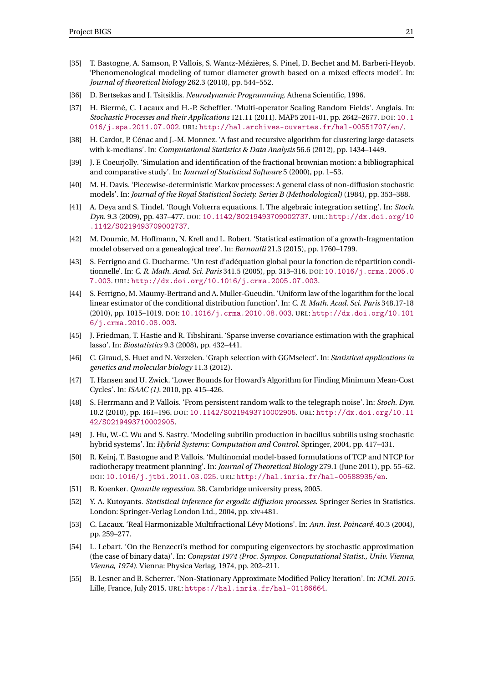- <span id="page-23-10"></span>[35] T. Bastogne, A. Samson, P. Vallois, S. Wantz-Mézières, S. Pinel, D. Bechet and M. Barberi-Heyob. 'Phenomenological modeling of tumor diameter growth based on a mixed effects model'. In: *Journal of theoretical biology* 262.3 (2010), pp. 544–552.
- <span id="page-23-11"></span>[36] D. Bertsekas and J. Tsitsiklis. *Neurodynamic Programming*. Athena Scientific, 1996.
- <span id="page-23-7"></span>[37] H. Biermé, C. Lacaux and H.-P. Scheffler. 'Multi-operator Scaling Random Fields'. Anglais. In: *Stochastic Processes and their Applications* 121.11 (2011). MAP5 2011-01, pp. 2642–2677. DOI: [10.1](https://doi.org/10.1016/j.spa.2011.07.002) [016/j.spa.2011.07.002](https://doi.org/10.1016/j.spa.2011.07.002). URL: <http://hal.archives-ouvertes.fr/hal-00551707/en/>.
- <span id="page-23-20"></span>[38] H. Cardot, P. Cénac and J.-M. Monnez. 'A fast and recursive algorithm for clustering large datasets with k-medians'. In: *Computational Statistics & Data Analysis* 56.6 (2012), pp. 1434–1449.
- <span id="page-23-9"></span>[39] J. F. Coeurjolly. 'Simulation and identification of the fractional brownian motion: a bibliographical and comparative study'. In: *Journal of Statistical Software* 5 (2000), pp. 1–53.
- <span id="page-23-1"></span>[40] M. H. Davis. 'Piecewise-deterministic Markov processes: A general class of non-diffusion stochastic models'. In: *Journal of the Royal Statistical Society. Series B (Methodological)* (1984), pp. 353–388.
- <span id="page-23-5"></span>[41] A. Deya and S. Tindel. 'Rough Volterra equations. I. The algebraic integration setting'. In: *Stoch. Dyn.* 9.3 (2009), pp. 437–477. DOI: [10.1142/S0219493709002737](https://doi.org/10.1142/S0219493709002737). URL: [http://dx.doi.org/10](http://dx.doi.org/10.1142/S0219493709002737) [.1142/S0219493709002737](http://dx.doi.org/10.1142/S0219493709002737).
- <span id="page-23-3"></span>[42] M. Doumic, M. Hoffmann, N. Krell and L. Robert. 'Statistical estimation of a growth-fragmentation model observed on a genealogical tree'. In: *Bernoulli* 21.3 (2015), pp. 1760–1799.
- <span id="page-23-17"></span>[43] S. Ferrigno and G. Ducharme. 'Un test d'adéquation global pour la fonction de répartition conditionnelle'. In: *C. R. Math. Acad. Sci. Paris* 341.5 (2005), pp. 313–316. DOI: [10.1016/j.crma.2005.0](https://doi.org/10.1016/j.crma.2005.07.003) [7.003](https://doi.org/10.1016/j.crma.2005.07.003). URL: <http://dx.doi.org/10.1016/j.crma.2005.07.003>.
- <span id="page-23-18"></span>[44] S. Ferrigno, M. Maumy-Bertrand and A. Muller-Gueudin. 'Uniform law of the logarithm for the local linear estimator of the conditional distribution function'. In: *C. R. Math. Acad. Sci. Paris* 348.17-18 (2010), pp. 1015–1019. DOI: [10.1016/j.crma.2010.08.003](https://doi.org/10.1016/j.crma.2010.08.003). URL: [http://dx.doi.org/10.101](http://dx.doi.org/10.1016/j.crma.2010.08.003) [6/j.crma.2010.08.003](http://dx.doi.org/10.1016/j.crma.2010.08.003).
- <span id="page-23-14"></span>[45] J. Friedman, T. Hastie and R. Tibshirani. 'Sparse inverse covariance estimation with the graphical lasso'. In: *Biostatistics* 9.3 (2008), pp. 432–441.
- <span id="page-23-15"></span>[46] C. Giraud, S. Huet and N. Verzelen. 'Graph selection with GGMselect'. In: *Statistical applications in genetics and molecular biology* 11.3 (2012).
- <span id="page-23-12"></span>[47] T. Hansen and U. Zwick. 'Lower Bounds for Howard's Algorithm for Finding Minimum Mean-Cost Cycles'. In: *ISAAC (1)*. 2010, pp. 415–426.
- <span id="page-23-4"></span>[48] S. Herrmann and P. Vallois. 'From persistent random walk to the telegraph noise'. In: *Stoch. Dyn.* 10.2 (2010), pp. 161–196. DOI: [10.1142/S0219493710002905](https://doi.org/10.1142/S0219493710002905). URL: [http://dx.doi.org/10.11](http://dx.doi.org/10.1142/S0219493710002905) [42/S0219493710002905](http://dx.doi.org/10.1142/S0219493710002905).
- <span id="page-23-2"></span>[49] J. Hu, W.-C. Wu and S. Sastry. 'Modeling subtilin production in bacillus subtilis using stochastic hybrid systems'. In: *Hybrid Systems: Computation and Control*. Springer, 2004, pp. 417–431.
- <span id="page-23-0"></span>[50] R. Keinj, T. Bastogne and P. Vallois. 'Multinomial model-based formulations of TCP and NTCP for radiotherapy treatment planning'. In: *Journal of Theoretical Biology* 279.1 (June 2011), pp. 55–62. DOI: [10.1016/j.jtbi.2011.03.025](https://doi.org/10.1016/j.jtbi.2011.03.025). URL: <http://hal.inria.fr/hal-00588935/en>.
- <span id="page-23-16"></span>[51] R. Koenker. *Quantile regression*. 38. Cambridge university press, 2005.
- <span id="page-23-8"></span>[52] Y. A. Kutoyants. *Statistical inference for ergodic diffusion processes*. Springer Series in Statistics. London: Springer-Verlag London Ltd., 2004, pp. xiv+481.
- <span id="page-23-6"></span>[53] C. Lacaux. 'Real Harmonizable Multifractional Lévy Motions'. In: *Ann. Inst. Poincaré.* 40.3 (2004), pp. 259–277.
- <span id="page-23-19"></span>[54] L. Lebart. 'On the Benzecri's method for computing eigenvectors by stochastic approximation (the case of binary data)'. In: *Compstat 1974 (Proc. Sympos. Computational Statist., Univ. Vienna, Vienna, 1974)*. Vienna: Physica Verlag, 1974, pp. 202–211.
- <span id="page-23-13"></span>[55] B. Lesner and B. Scherrer. 'Non-Stationary Approximate Modified Policy Iteration'. In: *ICML 2015*. Lille, France, July 2015. URL: <https://hal.inria.fr/hal-01186664>.